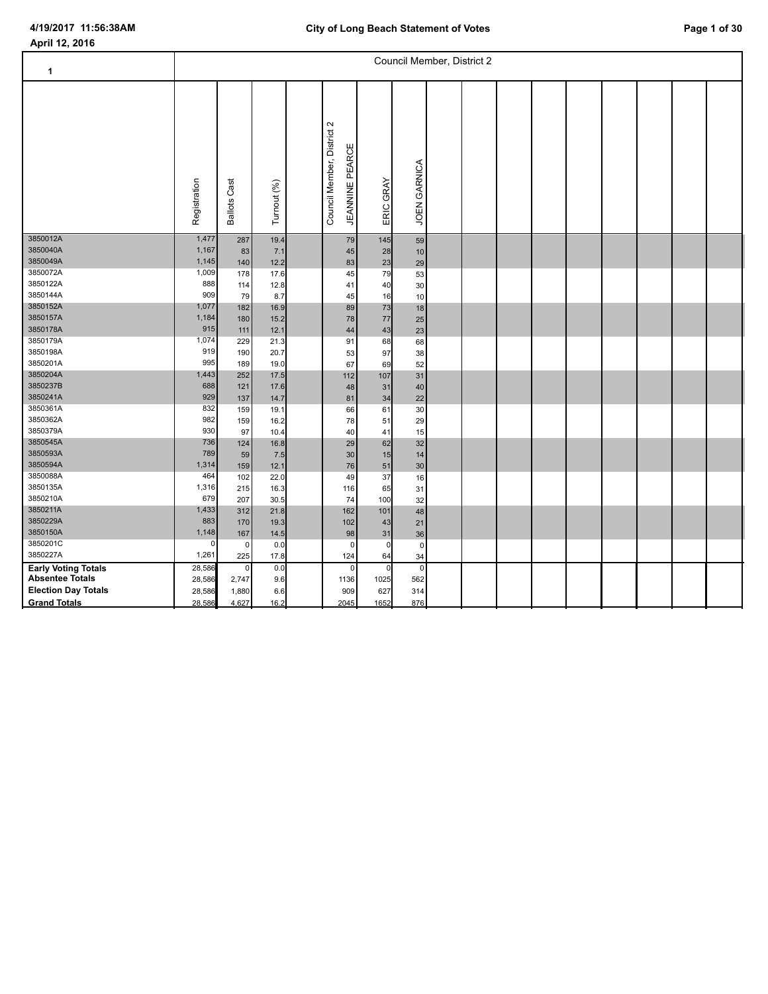| 1                          |                |                     |              |                                    |                                     | Council Member, District 2 |  |  |  |  |  |
|----------------------------|----------------|---------------------|--------------|------------------------------------|-------------------------------------|----------------------------|--|--|--|--|--|
|                            | Registration   | <b>Ballots Cast</b> | Turnout (%)  | $\sim$<br>Council Member, District | <b>JEANNINE PEARCE</b><br>ERIC GRAY | JOEN GARNICA               |  |  |  |  |  |
| 3850012A                   | 1,477          | 287                 | 19.4         |                                    | 145<br>79                           | 59                         |  |  |  |  |  |
| 3850040A<br>3850049A       | 1,167<br>1,145 | 83<br>140           | 7.1<br>12.2  |                                    | 45<br>28<br>23<br>83                | 10<br>29                   |  |  |  |  |  |
| 3850072A                   | 1,009          | 178                 | 17.6         |                                    | 45<br>79                            | 53                         |  |  |  |  |  |
| 3850122A                   | 888            | 114                 | 12.8         |                                    | 40<br>41                            | 30                         |  |  |  |  |  |
| 3850144A<br>3850152A       | 909<br>1,077   | 79                  | 8.7          |                                    | 45<br>16                            | 10                         |  |  |  |  |  |
| 3850157A                   | 1,184          | 182<br>180          | 16.9<br>15.2 |                                    | 89<br>73<br>78<br>77                | 18<br>25                   |  |  |  |  |  |
| 3850178A                   | 915            | 111                 | 12.1         |                                    | 43<br>44                            | 23                         |  |  |  |  |  |
| 3850179A                   | 1,074          | 229                 | 21.3         |                                    | 91<br>68                            | 68                         |  |  |  |  |  |
| 3850198A                   | 919            | 190                 | 20.7         |                                    | 97<br>53                            | 38                         |  |  |  |  |  |
| 3850201A                   | 995            | 189                 | 19.0         |                                    | 67<br>69                            | 52                         |  |  |  |  |  |
| 3850204A                   | 1,443          | 252                 | 17.5         | 112                                | 107                                 | 31                         |  |  |  |  |  |
| 3850237B<br>3850241A       | 688<br>929     | 121                 | 17.6         |                                    | 31<br>48                            | 40                         |  |  |  |  |  |
| 3850361A                   | 832            | 137<br>159          | 14.7<br>19.1 |                                    | 81<br>34<br>66<br>61                | 22<br>30                   |  |  |  |  |  |
| 3850362A                   | 982            | 159                 | 16.2         |                                    | 78<br>51                            | 29                         |  |  |  |  |  |
| 3850379A                   | 930            | 97                  | 10.4         |                                    | 40<br>41                            | 15                         |  |  |  |  |  |
| 3850545A                   | 736            | 124                 | 16.8         |                                    | 29<br>62                            | 32                         |  |  |  |  |  |
| 3850593A                   | 789            | 59                  | 7.5          |                                    | 30<br>15                            | 14                         |  |  |  |  |  |
| 3850594A                   | 1,314          | 159                 | 12.1         |                                    | 76<br>51                            | 30                         |  |  |  |  |  |
| 3850088A<br>3850135A       | 464<br>1,316   | 102<br>215          | 22.0         |                                    | 49<br>37                            | 16                         |  |  |  |  |  |
| 3850210A                   | 679            | 207                 | 16.3<br>30.5 | 116                                | 65<br>74<br>100                     | 31<br>32                   |  |  |  |  |  |
| 3850211A                   | 1,433          | 312                 | 21.8         | 162                                | 101                                 | 48                         |  |  |  |  |  |
| 3850229A                   | 883            | 170                 | 19.3         | 102                                | 43                                  | 21                         |  |  |  |  |  |
| 3850150A                   | 1,148          | 167                 | 14.5         |                                    | 98<br>31                            | 36                         |  |  |  |  |  |
| 3850201C                   | $\mathbf 0$    | $\pmb{0}$           | 0.0          |                                    | $\mathbf 0$<br>$\pmb{0}$            | $\mathbf 0$                |  |  |  |  |  |
| 3850227A                   | 1,261          | 225                 | 17.8         | 124                                | 64                                  | 34                         |  |  |  |  |  |
| <b>Early Voting Totals</b> | 28,586         | $\mathbf 0$         | 0.0          |                                    | $\pmb{0}$<br>$\mathbf 0$            | $\mathbf 0$                |  |  |  |  |  |
| <b>Absentee Totals</b>     | 28,586         | 2,747               | 9.6          | 1136                               | 1025                                | 562                        |  |  |  |  |  |
| <b>Election Day Totals</b> | 28,586         | 1,880               | 6.6          | 909                                | 627                                 | 314                        |  |  |  |  |  |
| <b>Grand Totals</b>        | 28,586         | 4,627               | 16.2         | 2045                               | 1652                                | 876                        |  |  |  |  |  |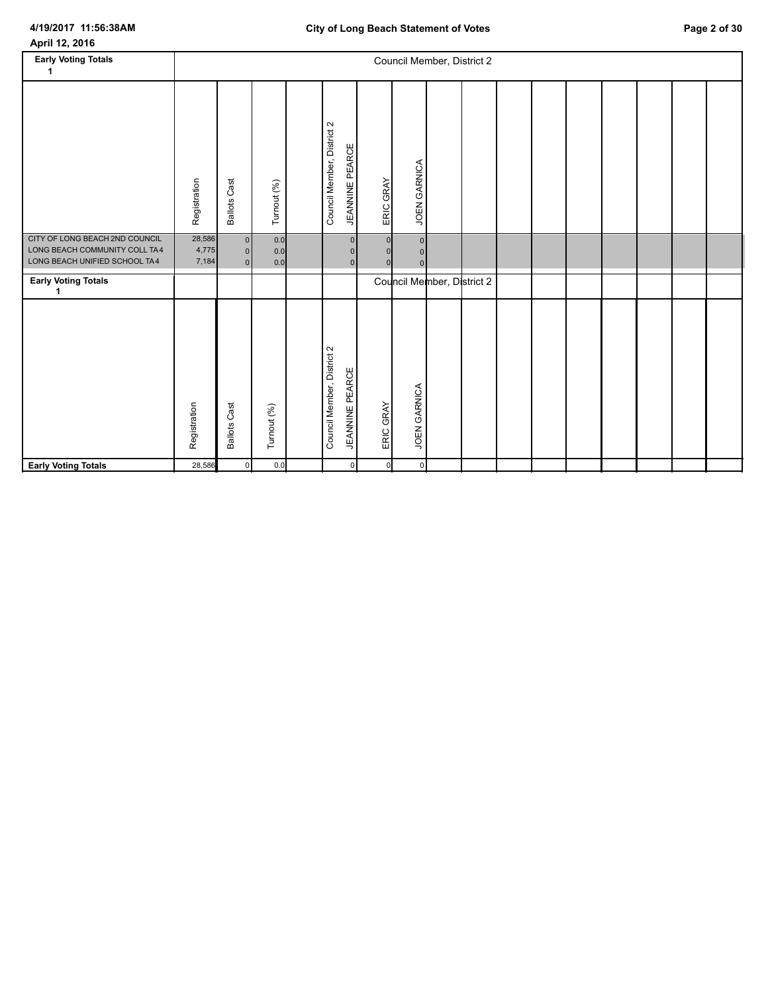# **4/19/2017 11:56:38AM**

| April 12, 2016 |  |
|----------------|--|
|----------------|--|

L

| <b>Early Voting Totals</b><br>1                                                                  |                          |                                                    |                    |                                                                      |                          |                                                    | Council Member, District 2 |  |  |  |  |
|--------------------------------------------------------------------------------------------------|--------------------------|----------------------------------------------------|--------------------|----------------------------------------------------------------------|--------------------------|----------------------------------------------------|----------------------------|--|--|--|--|
|                                                                                                  | Registration             | <b>Ballots Cast</b>                                | Turnout (%)        | Council Member, District 2<br><b>JEANNINE PEARCE</b>                 | ERIC GRAY                | JOEN GARNICA                                       |                            |  |  |  |  |
| CITY OF LONG BEACH 2ND COUNCIL<br>LONG BEACH COMMUNITY COLL TA4<br>LONG BEACH UNIFIED SCHOOL TA4 | 28,586<br>4,775<br>7,184 | $\overline{0}$<br>$\overline{0}$<br>$\overline{0}$ | 0.0<br>0.0<br>0.0  | $\Omega$<br>$\Omega$<br>$\Omega$                                     | $\mathbf{0}$<br>$\Omega$ | $\overline{0}$<br>$\overline{0}$<br>$\overline{0}$ |                            |  |  |  |  |
| <b>Early Voting Totals</b><br>1                                                                  |                          |                                                    |                    |                                                                      |                          |                                                    | Council Member, District 2 |  |  |  |  |
|                                                                                                  | Registration<br>28,586   | <b>Ballots Cast</b><br>$\mathbf 0$                 | Turnout (%)<br>0.0 | Council Member, District 2<br><b>JEANNINE PEARCE</b><br>$\mathbf{0}$ | ERIC GRAY<br>$\circ$     | JOEN GARNICA<br>$\circ$                            |                            |  |  |  |  |
| <b>Early Voting Totals</b>                                                                       |                          |                                                    |                    |                                                                      |                          |                                                    |                            |  |  |  |  |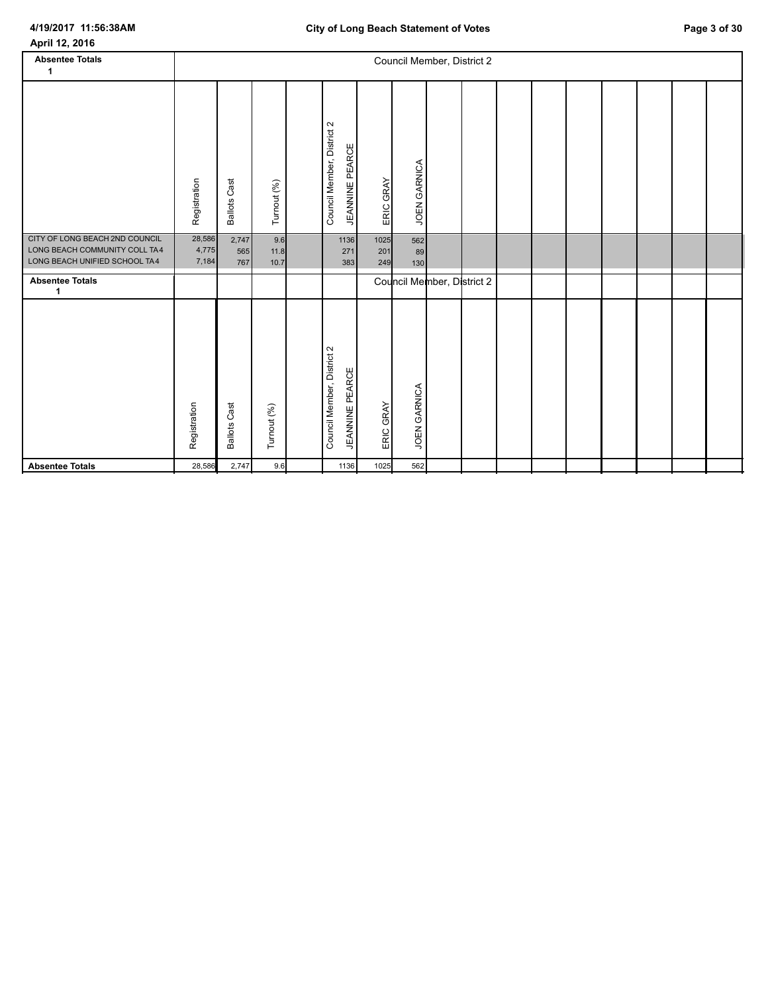| April 12, 2016                                                                                   |                          |                     |                     |                            |                        |                           |                  |                            |  |  |  |  |
|--------------------------------------------------------------------------------------------------|--------------------------|---------------------|---------------------|----------------------------|------------------------|---------------------------|------------------|----------------------------|--|--|--|--|
| <b>Absentee Totals</b><br>$\mathbf{1}$                                                           |                          |                     |                     |                            |                        |                           |                  | Council Member, District 2 |  |  |  |  |
|                                                                                                  |                          |                     |                     |                            |                        |                           |                  |                            |  |  |  |  |
|                                                                                                  | Registration             | <b>Ballots Cast</b> | Turnout (%)         | Council Member, District 2 | <b>JEANNINE PEARCE</b> | ERIC GRAY                 | JOEN GARNICA     |                            |  |  |  |  |
| CITY OF LONG BEACH 2ND COUNCIL<br>LONG BEACH COMMUNITY COLL TA4<br>LONG BEACH UNIFIED SCHOOL TA4 | 28,586<br>4,775<br>7,184 | 2,747<br>565<br>767 | 9.6<br>11.8<br>10.7 |                            | 1136<br>271<br>383     | 1025<br>201<br>249        | 562<br>89<br>130 |                            |  |  |  |  |
| <b>Absentee Totals</b><br>1                                                                      |                          |                     |                     |                            |                        |                           |                  | Council Member, District 2 |  |  |  |  |
|                                                                                                  | Registration             | <b>Ballots Cast</b> | Turnout (%)         | Council Member, District 2 | <b>JEANNINE PEARCE</b> | GRAY<br>ERIC <sub>1</sub> | JOEN GARNICA     |                            |  |  |  |  |

**Absentee Totals** 28,586 2,747 9.6 1136 1025 562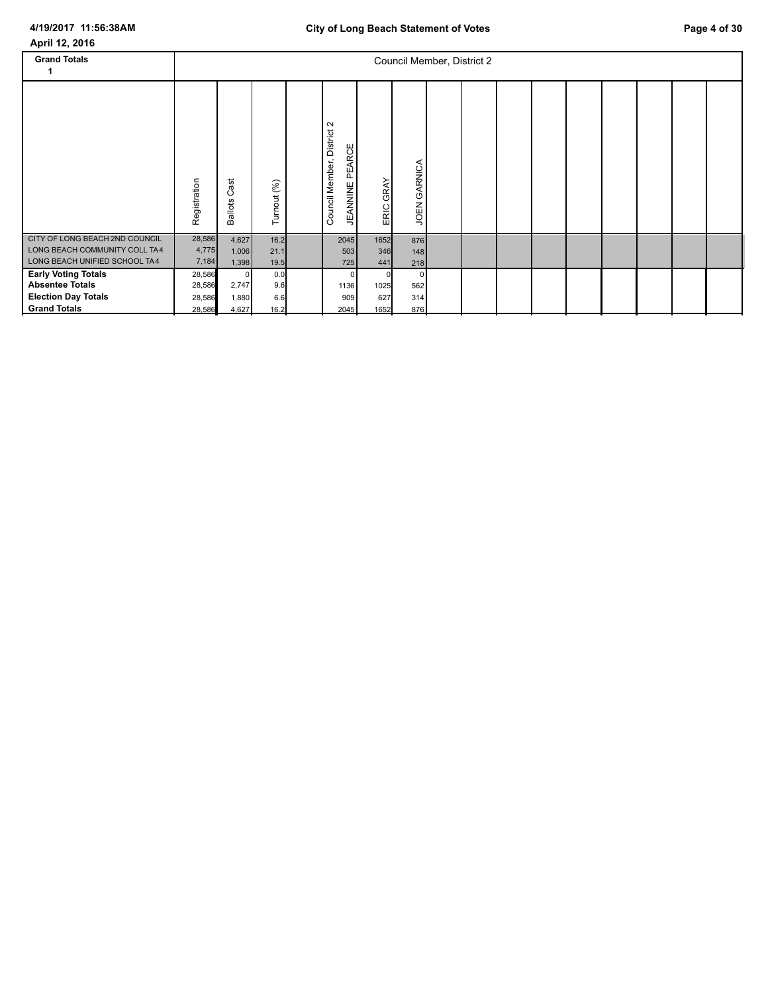# **4/19/2017 11:56:38AM**

| April 12, 2016 |  |  |
|----------------|--|--|
|----------------|--|--|

| <b>Grand Totals</b>                                                                                       |                                      |                                        |                           |                                                                           |                     |                                     | Council Member, District 2 |  |  |  |  |
|-----------------------------------------------------------------------------------------------------------|--------------------------------------|----------------------------------------|---------------------------|---------------------------------------------------------------------------|---------------------|-------------------------------------|----------------------------|--|--|--|--|
|                                                                                                           | Registration                         | ast<br>ပ<br><b>Ballots</b>             | Turnout (%)               | $\sim$<br><b>District</b><br>PEARCE<br>Council Member,<br><b>JEANNINE</b> | GRAY<br>ERIC        | JOEN GARNICA                        |                            |  |  |  |  |
| CITY OF LONG BEACH 2ND COUNCIL<br>LONG BEACH COMMUNITY COLL TA4<br>LONG BEACH UNIFIED SCHOOL TA4          | 28,586<br>4,775<br>7,184             | 4,627<br>1,006<br>1,398                | 16.2<br>21.1<br>19.5      | 2045<br>503<br>725                                                        | 1652<br>346<br>441  | 876<br>148<br>218                   |                            |  |  |  |  |
| <b>Early Voting Totals</b><br><b>Absentee Totals</b><br><b>Election Day Totals</b><br><b>Grand Totals</b> | 28,586<br>28,586<br>28,586<br>28,586 | $\mathbf 0$<br>2,747<br>1,880<br>4,627 | 0.0<br>9.6<br>6.6<br>16.2 | $\Omega$<br>1136<br>909<br>2045                                           | 1025<br>627<br>1652 | $\overline{0}$<br>562<br>314<br>876 |                            |  |  |  |  |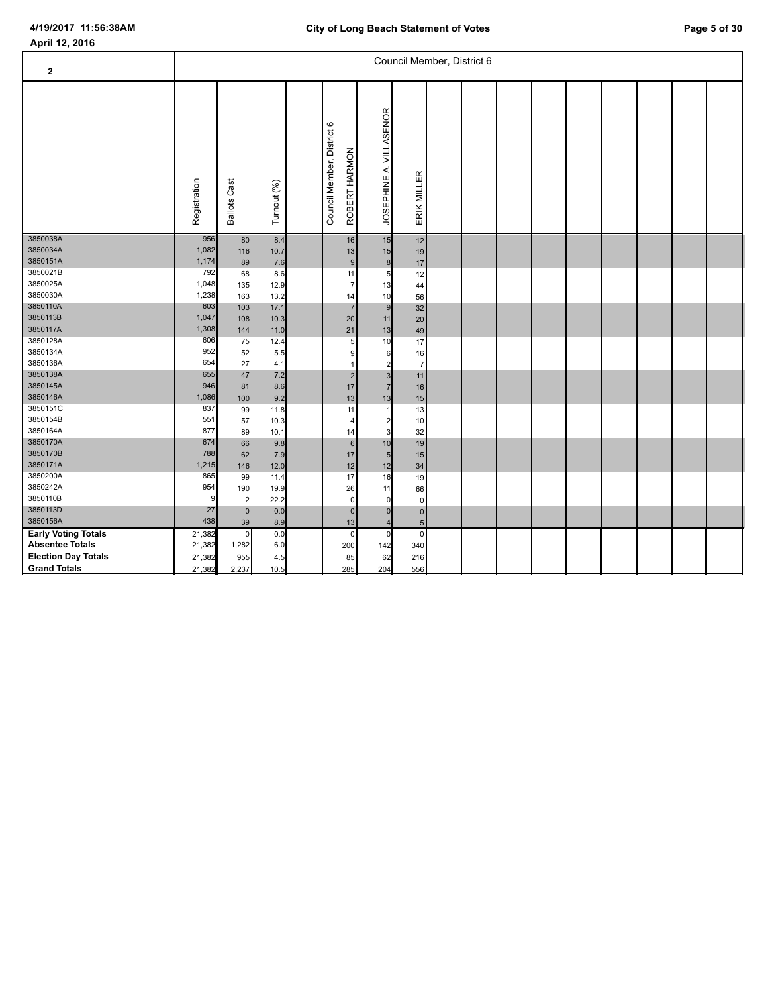| $\mathbf{2}$                                         |                  |                     |              |                                             |                                  |                                   | Council Member, District 6 |  |  |  |  |
|------------------------------------------------------|------------------|---------------------|--------------|---------------------------------------------|----------------------------------|-----------------------------------|----------------------------|--|--|--|--|
|                                                      | Registration     | <b>Ballots Cast</b> | Turnout (%)  | Council Member, District 6<br>ROBERT HARMON | JOSEPHINE A. VILLASENOR          | ERIK MILLER                       |                            |  |  |  |  |
| 3850038A<br>3850034A                                 | 956<br>1,082     | 80<br>116           | 8.4<br>10.7  | 16<br>13                                    | 15<br>15                         | 12<br>19                          |                            |  |  |  |  |
| 3850151A                                             | 1,174            | 89                  | 7.6          |                                             | $\boldsymbol{9}$<br>$\bf8$       | 17                                |                            |  |  |  |  |
| 3850021B                                             | 792              | 68                  | 8.6          | 11                                          | 5                                | 12                                |                            |  |  |  |  |
| 3850025A                                             | 1,048            | 135                 | 12.9         |                                             | $\overline{7}$<br>13             | 44                                |                            |  |  |  |  |
| 3850030A                                             | 1,238            | 163                 | 13.2         | 14                                          | 10                               | 56                                |                            |  |  |  |  |
| 3850110A<br>3850113B                                 | 603<br>1,047     | 103                 | 17.1         |                                             | $\overline{7}$<br>$\overline{9}$ | 32                                |                            |  |  |  |  |
| 3850117A                                             | 1,308            | 108<br>$144$        | 10.3<br>11.0 | 20                                          | 11<br>13                         | 20                                |                            |  |  |  |  |
| 3850128A                                             | 606              | 75                  | 12.4         | 21<br>5                                     | 10                               | 49<br>17                          |                            |  |  |  |  |
| 3850134A                                             | 952              | 52                  | 5.5          |                                             | 9<br>6                           | 16                                |                            |  |  |  |  |
| 3850136A                                             | 654              | 27                  | 4.1          |                                             | 2                                | $\overline{7}$                    |                            |  |  |  |  |
| 3850138A                                             | 655              | 47                  | 7.2          |                                             | 2<br>3                           | 11                                |                            |  |  |  |  |
| 3850145A                                             | 946              | 81                  | 8.6          | 17                                          | $\overline{7}$                   | 16                                |                            |  |  |  |  |
| 3850146A                                             | 1,086            | 100                 | 9.2          | 13                                          | 13                               | 15                                |                            |  |  |  |  |
| 3850151C                                             | 837              | 99                  | 11.8         | 11                                          |                                  | 13                                |                            |  |  |  |  |
| 3850154B                                             | 551              | 57                  | 10.3         | $\overline{4}$                              | 2                                | 10                                |                            |  |  |  |  |
| 3850164A                                             | 877              | 89                  | 10.1         | 14                                          | 3                                | 32                                |                            |  |  |  |  |
| 3850170A                                             | 674              | 66                  | 9.8          |                                             | 6<br>10                          | 19                                |                            |  |  |  |  |
| 3850170B                                             | 788              | 62                  | 7.9          | 17                                          | 5                                | 15                                |                            |  |  |  |  |
| 3850171A                                             | 1,215            | 146                 | 12.0         | 12                                          | 12                               | 34                                |                            |  |  |  |  |
| 3850200A                                             | 865              | 99                  | 11.4         | 17                                          | 16                               | 19                                |                            |  |  |  |  |
| 3850242A<br>3850110B                                 | 954              | 190                 | 19.9         | 26                                          | 11                               | 66                                |                            |  |  |  |  |
| 3850113D                                             | 9<br>27          | $\overline{2}$      | 22.2         |                                             | $\mathbf 0$<br>0                 | $\mathbf 0$                       |                            |  |  |  |  |
| 3850156A                                             | 438              | $\mathbf 0$         | 0.0          |                                             | $\mathbf 0$<br>$\Omega$          | $\overline{0}$                    |                            |  |  |  |  |
|                                                      |                  | 39<br>$\mathsf 0$   | 8.9          | 13                                          | $\mathbf 0$<br>$\mathbf 0$       | $5\overline{)}$<br>$\overline{0}$ |                            |  |  |  |  |
| <b>Early Voting Totals</b><br><b>Absentee Totals</b> | 21,382<br>21,382 | 1,282               | 0.0<br>6.0   | 200                                         | 142                              | 340                               |                            |  |  |  |  |
| <b>Election Day Totals</b>                           | 21,382           | 955                 | 4.5          | 85                                          | 62                               | 216                               |                            |  |  |  |  |
| <b>Grand Totals</b>                                  | 21,382           | 2,237               | 10.5         | 285                                         | 204                              | 556                               |                            |  |  |  |  |
|                                                      |                  |                     |              |                                             |                                  |                                   |                            |  |  |  |  |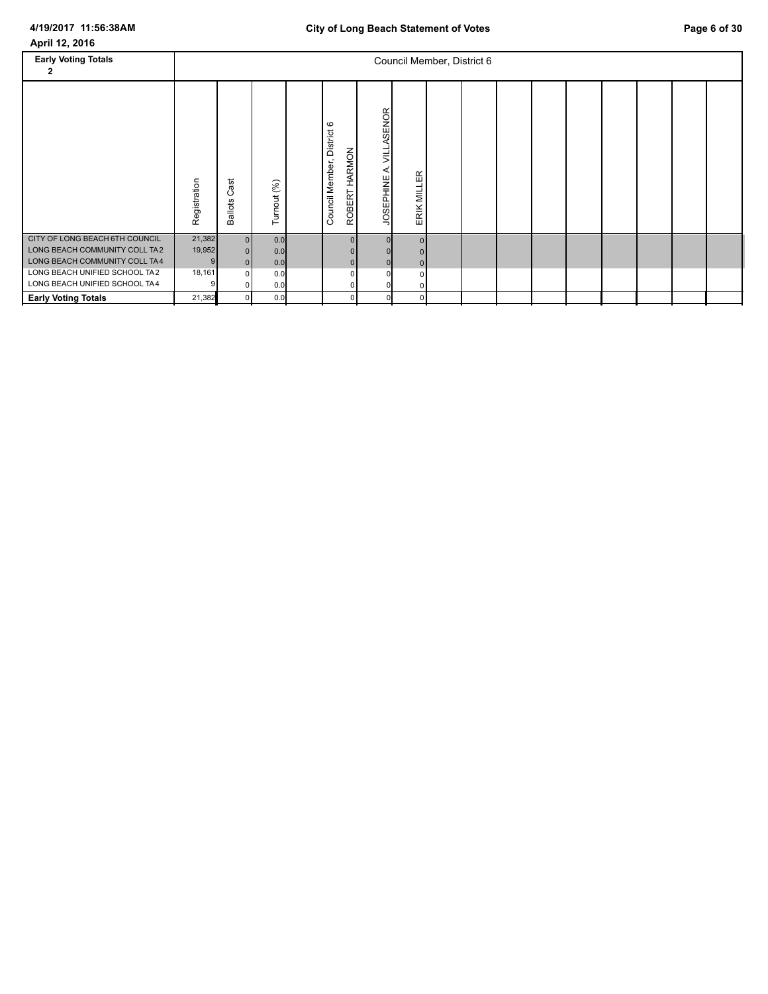| <b>Early Voting Totals</b><br>2                                                                                                   |                                 |                                        |                          |                                                         |                                      |             | Council Member, District 6 |  |  |  |  |
|-----------------------------------------------------------------------------------------------------------------------------------|---------------------------------|----------------------------------------|--------------------------|---------------------------------------------------------|--------------------------------------|-------------|----------------------------|--|--|--|--|
|                                                                                                                                   | Registration                    | ast<br>ပ<br><b>Ballots</b>             | Turnout (%)              | $\circ$<br>District<br>ROBERT HARMON<br>Council Member, | ASENOR<br>르<br>⋖<br><b>JOSEPHINE</b> | ERIK MILLER |                            |  |  |  |  |
| CITY OF LONG BEACH 6TH COUNCIL<br>LONG BEACH COMMUNITY COLL TA2<br>LONG BEACH COMMUNITY COLL TA4<br>LONG BEACH UNIFIED SCHOOL TA2 | 21,382<br>19,952<br>9<br>18,161 | $\overline{0}$<br>$\Omega$<br>$\Omega$ | 0.0<br>0.0<br>0.0<br>0.0 | 0<br>$\mathbf{0}$<br>$\mathbf 0$                        |                                      |             |                            |  |  |  |  |
| LONG BEACH UNIFIED SCHOOL TA4<br><b>Early Voting Totals</b>                                                                       | 21,382                          | $\overline{0}$                         | 0.0<br>0.0               | 0<br>$\mathbf{0}$                                       |                                      | 01          |                            |  |  |  |  |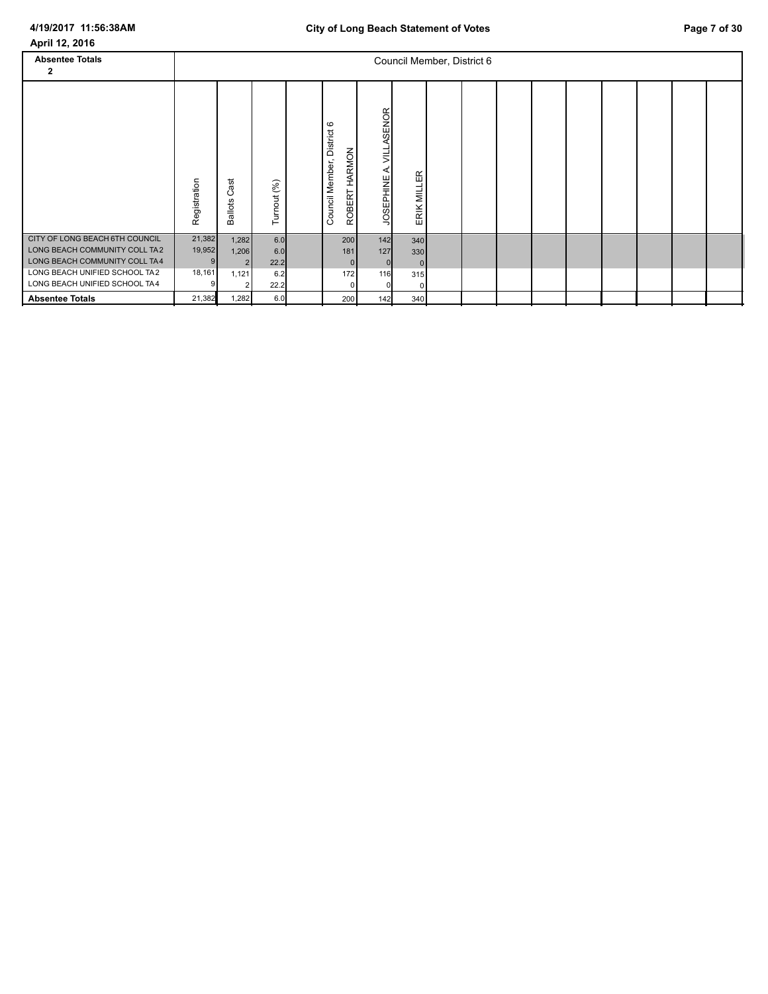| April 12, 2016                                                                                   |                       |                                  |                    |                                             |                            |                              |  |  |  |  |  |
|--------------------------------------------------------------------------------------------------|-----------------------|----------------------------------|--------------------|---------------------------------------------|----------------------------|------------------------------|--|--|--|--|--|
| <b>Absentee Totals</b><br>2                                                                      |                       |                                  |                    |                                             |                            | Council Member, District 6   |  |  |  |  |  |
|                                                                                                  | Registration          | ast<br>ပ<br><b>Ballots</b>       | Turnout (%)        | Council Member, District 6<br>ROBERT HARMON | VILLASENOR<br>JOSEPHINE A. | ERIK MILLER                  |  |  |  |  |  |
| CITY OF LONG BEACH 6TH COUNCIL<br>LONG BEACH COMMUNITY COLL TA2<br>LONG BEACH COMMUNITY COLL TA4 | 21,382<br>19,952<br>9 | 1,282<br>1,206<br>$\overline{2}$ | 6.0<br>6.0<br>22.2 | 200<br>181<br> 0                            | 142<br>127<br>$\mathbf 0$  | 340<br>330<br>$\overline{0}$ |  |  |  |  |  |
| LONG BEACH UNIFIED SCHOOL TA2<br>LONG BEACH UNIFIED SCHOOL TA4                                   | 18,161                | 1,121                            | 6.2<br>22.2        | 172<br>0                                    | 116<br>n                   | 315<br>$\Omega$              |  |  |  |  |  |
| <b>Absentee Totals</b>                                                                           | 21,382                | 1,282                            | 6.0                | 200                                         | 142                        | 340                          |  |  |  |  |  |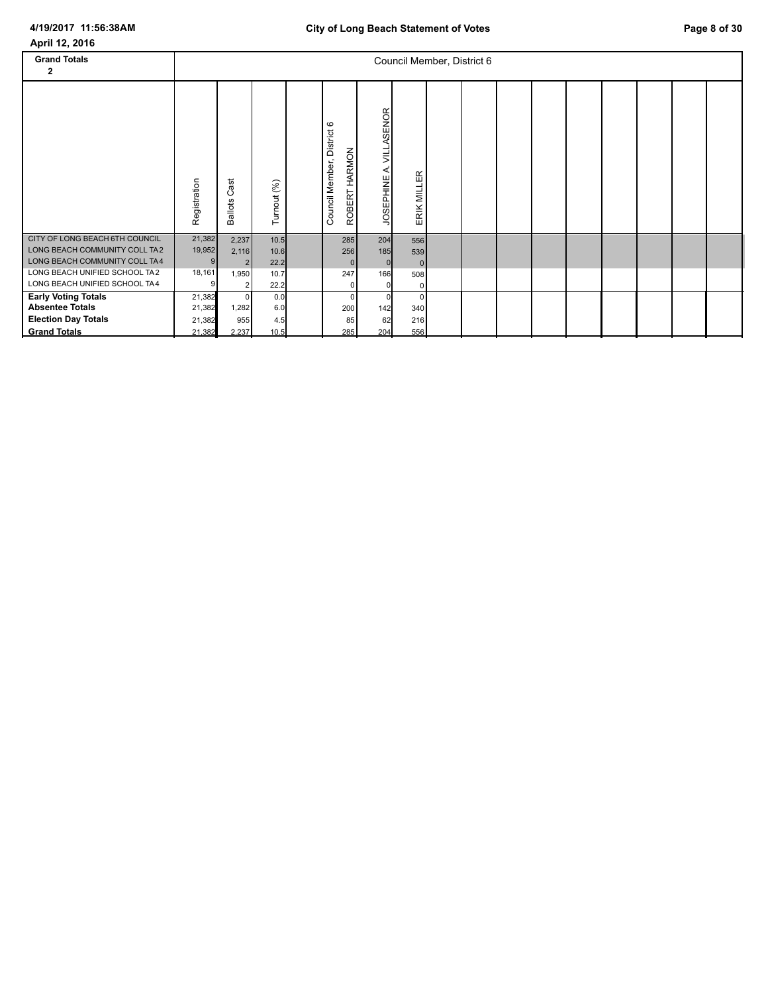| April 12, 2016                 |              |                            |             |                               |                                             |                |                            |  |  |  |  |
|--------------------------------|--------------|----------------------------|-------------|-------------------------------|---------------------------------------------|----------------|----------------------------|--|--|--|--|
| <b>Grand Totals</b>            |              |                            |             |                               |                                             |                | Council Member, District 6 |  |  |  |  |
| 2                              |              |                            |             |                               |                                             |                |                            |  |  |  |  |
|                                | Registration | ast<br>ပ<br><b>Ballots</b> | Turnout (%) | District 6<br>Council Member, | A. VILLASENOR<br>ROBERT HARMON<br>JOSEPHINE | ERIK MILLER    |                            |  |  |  |  |
| CITY OF LONG BEACH 6TH COUNCIL | 21,382       | 2,237                      | 10.5        | 285                           | 204                                         | 556            |                            |  |  |  |  |
| LONG BEACH COMMUNITY COLL TA2  | 19,952       | 2,116                      | 10.6        | 256                           | 185                                         | 539            |                            |  |  |  |  |
| LONG BEACH COMMUNITY COLL TA4  | 9            | $\overline{\mathbf{c}}$    | 22.2        |                               | $\mathbf{0}$<br>$\mathbf 0$                 | $\overline{0}$ |                            |  |  |  |  |
| LONG BEACH UNIFIED SCHOOL TA2  | 18,161       | 1,950                      | 10.7        | 247                           | 166                                         | 508            |                            |  |  |  |  |
| LONG BEACH UNIFIED SCHOOL TA4  | 9            | $\overline{\mathbf{c}}$    | 22.2        |                               | 0<br>0                                      | $\overline{0}$ |                            |  |  |  |  |
| <b>Early Voting Totals</b>     | 21,382       | $\mathbf 0$                | 0.0         |                               | $\Omega$<br>$\mathbf 0$                     | $\Omega$       |                            |  |  |  |  |
| <b>Absentee Totals</b>         | 21,382       | 1,282                      | 6.0         | 200                           | 142                                         | 340            |                            |  |  |  |  |
| <b>Election Day Totals</b>     | 21,382       | 955                        | 4.5         |                               | 62<br>85                                    | 216            |                            |  |  |  |  |
| <b>Grand Totals</b>            | 21,382       | 2,237                      | 10.5        | 285                           | 204                                         | 556            |                            |  |  |  |  |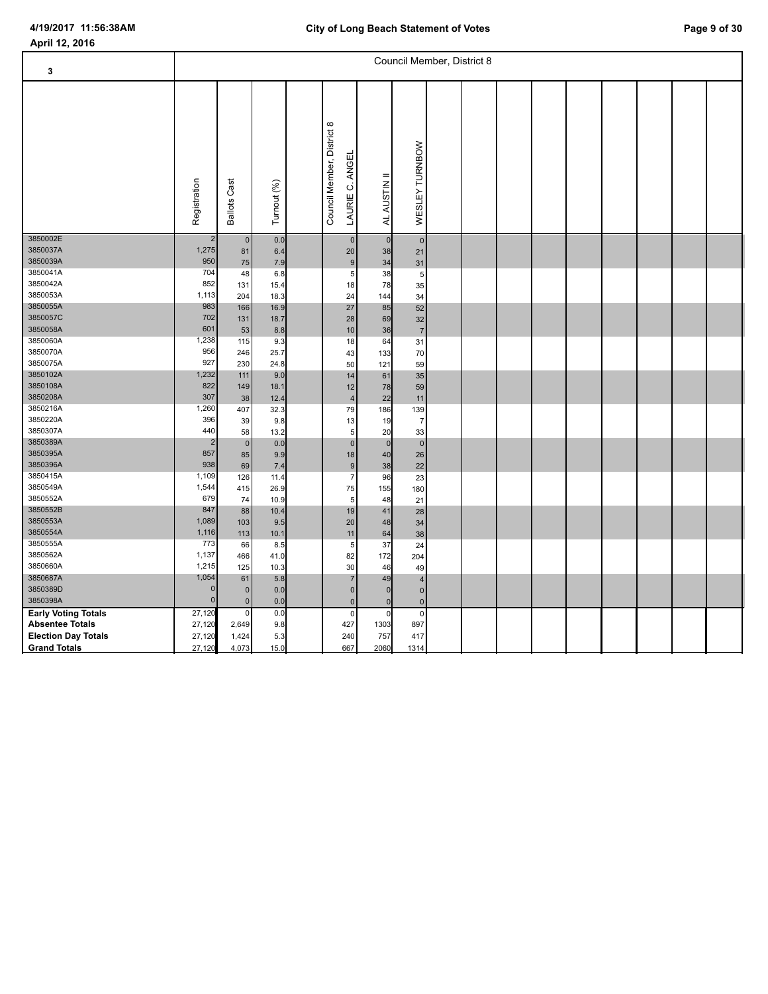| 3                          |                |                     |              |                                                         |                    |                  | Council Member, District 8 |  |  |  |  |
|----------------------------|----------------|---------------------|--------------|---------------------------------------------------------|--------------------|------------------|----------------------------|--|--|--|--|
|                            | Registration   | <b>Ballots Cast</b> | Turnout (%)  | $\infty$<br>Council Member, District<br>LAURIE C. ANGEI | <b>AUSTIN</b><br>4 | WESLEY TURNBOW   |                            |  |  |  |  |
| 3850002E                   | $\overline{2}$ | $\pmb{0}$           | 0.0          | $\overline{0}$                                          | $\mathbf 0$        | $\overline{0}$   |                            |  |  |  |  |
| 3850037A<br>3850039A       | 1,275<br>950   | 81                  | 6.4          | 20                                                      | 38                 | 21               |                            |  |  |  |  |
| 3850041A                   | 704            | 75                  | 7.9          | 9                                                       | 34                 | 31               |                            |  |  |  |  |
| 3850042A                   | 852            | 48<br>131           | 6.8<br>15.4  | 5<br>18                                                 | 38<br>78           | $\sqrt{5}$<br>35 |                            |  |  |  |  |
| 3850053A                   | 1,113          | 204                 | 18.3         | 24                                                      | 144                | 34               |                            |  |  |  |  |
| 3850055A                   | 983            | 166                 | 16.9         | $27\,$                                                  | 85                 | 52               |                            |  |  |  |  |
| 3850057C                   | 702            | 131                 | 18.7         | 28                                                      | 69                 | 32               |                            |  |  |  |  |
| 3850058A                   | 601            | 53                  | 8.8          | 10                                                      | 36                 | $\overline{7}$   |                            |  |  |  |  |
| 3850060A                   | 1,238          | 115                 | 9.3          | 18                                                      | 64                 | 31               |                            |  |  |  |  |
| 3850070A                   | 956            | 246                 | 25.7         | 43                                                      | 133                | 70               |                            |  |  |  |  |
| 3850075A                   | 927            | 230                 | 24.8         | 50                                                      | 121                | 59               |                            |  |  |  |  |
| 3850102A                   | 1,232          | 111                 | 9.0          | 14                                                      | 61                 | 35               |                            |  |  |  |  |
| 3850108A                   | 822            | 149                 | 18.1         | 12                                                      | 78                 | 59               |                            |  |  |  |  |
| 3850208A                   | 307            | 38                  | 12.4         | $\overline{\mathbf{4}}$                                 | 22                 | 11               |                            |  |  |  |  |
| 3850216A                   | 1,260          | 407                 | 32.3         | 79                                                      | 186                | 139              |                            |  |  |  |  |
| 3850220A                   | 396            | 39                  | 9.8          | 13                                                      | 19                 | $\overline{7}$   |                            |  |  |  |  |
| 3850307A                   | 440            | 58                  | 13.2         | 5 <sup>5</sup>                                          | 20                 | 33               |                            |  |  |  |  |
| 3850389A                   | 2              | $\mathbf 0$         | 0.0          | $\pmb{0}$                                               | $\mathbf 0$        | $\overline{0}$   |                            |  |  |  |  |
| 3850395A                   | 857            | 85                  | 9.9          | 18                                                      | 40                 | 26               |                            |  |  |  |  |
| 3850396A                   | 938            | 69                  | 7.4          | 9                                                       | 38                 | 22               |                            |  |  |  |  |
| 3850415A<br>3850549A       | 1,109<br>1,544 | 126                 | 11.4         | $\overline{7}$                                          | 96                 | 23               |                            |  |  |  |  |
| 3850552A                   | 679            | 415<br>74           | 26.9<br>10.9 | 75<br>$\sqrt{5}$                                        | 155<br>48          | 180              |                            |  |  |  |  |
| 3850552B                   | 847            | 88                  | 10.4         | 19                                                      | 41                 | 21<br>28         |                            |  |  |  |  |
| 3850553A                   | 1,089          | 103                 | 9.5          | 20                                                      | 48                 | 34               |                            |  |  |  |  |
| 3850554A                   | 1,116          | 113                 | 10.1         | 11                                                      | 64                 | 38               |                            |  |  |  |  |
| 3850555A                   | 773            | 66                  | 8.5          | 5                                                       | 37                 | 24               |                            |  |  |  |  |
| 3850562A                   | 1,137          | 466                 | 41.0         | 82                                                      | 172                | 204              |                            |  |  |  |  |
| 3850660A                   | 1,215          | 125                 | 10.3         | 30                                                      | 46                 | 49               |                            |  |  |  |  |
| 3850687A                   | 1,054          | 61                  | 5.8          | $\overline{7}$                                          | 49                 | $\sqrt{4}$       |                            |  |  |  |  |
| 3850389D                   | $\Omega$       | $\mathbf 0$         | 0.0          | 0                                                       | $\mathbf{0}$       | $\overline{0}$   |                            |  |  |  |  |
| 3850398A                   | $\overline{0}$ | $\mathbf 0$         | 0.0          | 0                                                       | $\mathbf 0$        | $\overline{0}$   |                            |  |  |  |  |
| <b>Early Voting Totals</b> | 27,120         | $\mathbf 0$         | 0.0          | $\pmb{0}$                                               | $\mathsf 0$        | $\overline{0}$   |                            |  |  |  |  |
| <b>Absentee Totals</b>     | 27,120         | 2,649               | 9.8          | 427                                                     | 1303               | 897              |                            |  |  |  |  |
| <b>Election Day Totals</b> | 27,120         | 1,424               | 5.3          | 240                                                     | 757                | 417              |                            |  |  |  |  |
| <b>Grand Totals</b>        | 27,120         | 4,073               | 15.0         | 667                                                     | 2060               | 1314             |                            |  |  |  |  |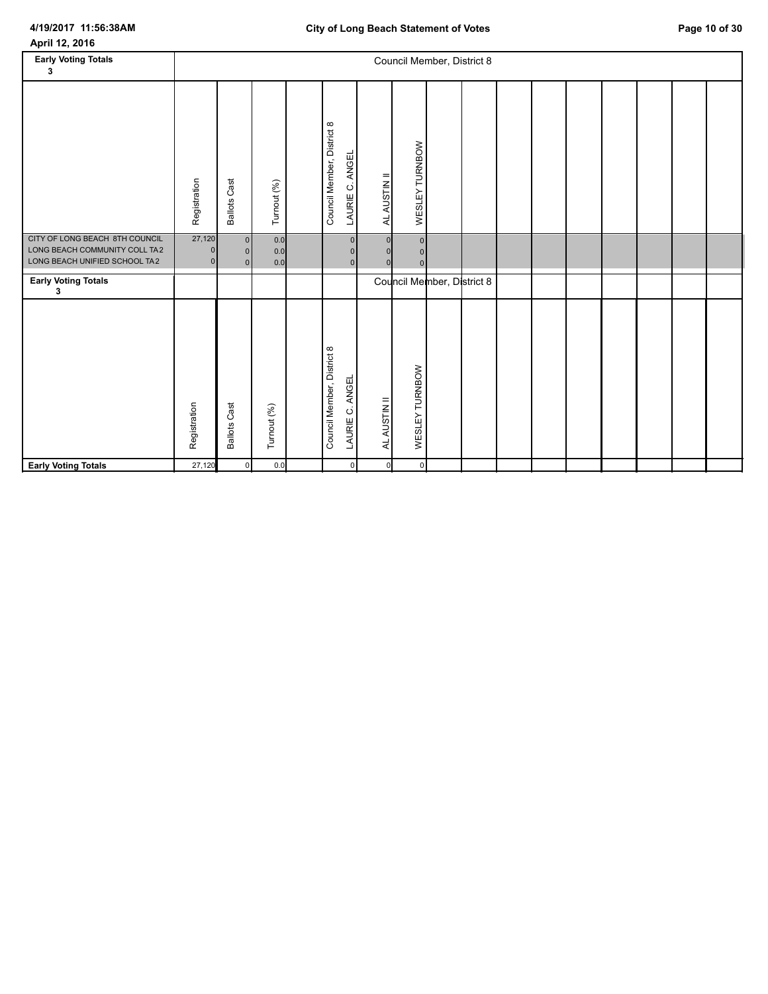# **4/19/2017 11:56:38AM**

| April 12, 2016 |  |
|----------------|--|
|----------------|--|

| <b>Early Voting Totals</b><br>3                                                                  |                                      |                                  |                   |                                                         |              |                                 | Council Member, District 8 |  |  |  |  |
|--------------------------------------------------------------------------------------------------|--------------------------------------|----------------------------------|-------------------|---------------------------------------------------------|--------------|---------------------------------|----------------------------|--|--|--|--|
|                                                                                                  | Registration                         | <b>Ballots Cast</b>              | Turnout (%)       | Council Member, District 8<br>LAURIE C. ANGEL           | AL AUSTIN II | WESLEY TURNBOW                  |                            |  |  |  |  |
| CITY OF LONG BEACH 8TH COUNCIL<br>LONG BEACH COMMUNITY COLL TA2<br>LONG BEACH UNIFIED SCHOOL TA2 | 27,120<br>$\Omega$<br>$\overline{0}$ | $\overline{0}$<br>$\Omega$<br> 0 | 0.0<br>0.0<br>0.0 | $\overline{0}$<br>$\mathbf{0}$<br>$\overline{0}$        |              | $\circ$<br>$\Omega$<br>$\Omega$ |                            |  |  |  |  |
| <b>Early Voting Totals</b><br>3                                                                  |                                      |                                  |                   |                                                         |              |                                 | Council Member, District 8 |  |  |  |  |
|                                                                                                  | Registration                         | <b>Ballots Cast</b>              | Turnout (%)       | Council Member, District 8<br><b>ANGEL</b><br>LAURIE C. | AL AUSTIN II | WESLEY TURNBOW                  |                            |  |  |  |  |
| <b>Early Voting Totals</b>                                                                       | 27,120                               | $\mathbf{0}$                     | 0.0               | $\mathsf 0$                                             | $\Omega$     | $\circ$                         |                            |  |  |  |  |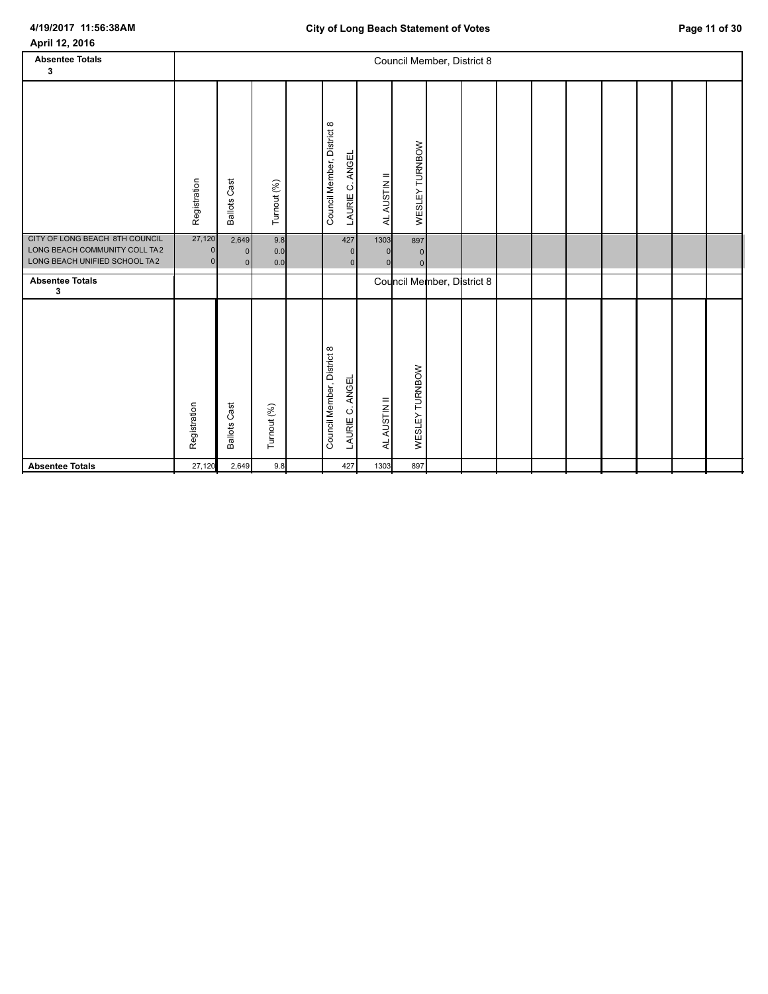| April 12, 2016                                                                                   |                    |                               |                   |                                                         |                                          |                                         |                            |  |  |  |  |
|--------------------------------------------------------------------------------------------------|--------------------|-------------------------------|-------------------|---------------------------------------------------------|------------------------------------------|-----------------------------------------|----------------------------|--|--|--|--|
| <b>Absentee Totals</b>                                                                           |                    |                               |                   |                                                         |                                          |                                         | Council Member, District 8 |  |  |  |  |
| 3                                                                                                |                    |                               |                   |                                                         |                                          |                                         |                            |  |  |  |  |
|                                                                                                  | Registration       | <b>Ballots Cast</b>           | Turnout (%)       | Council Member, District 8<br><b>ANGEL</b><br>LAURIE C. | AL AUSTIN II                             | WESLEY TURNBOW                          |                            |  |  |  |  |
| CITY OF LONG BEACH 8TH COUNCIL<br>LONG BEACH COMMUNITY COLL TA2<br>LONG BEACH UNIFIED SCHOOL TA2 | 27,120<br>$\Omega$ | 2,649<br>$\overline{0}$<br> 0 | 9.8<br>0.0<br>0.0 | 427                                                     | 1303<br>$\overline{0}$<br>$\overline{0}$ | 897<br>$\overline{0}$<br>$\overline{0}$ |                            |  |  |  |  |
| <b>Absentee Totals</b><br>3                                                                      |                    |                               |                   |                                                         |                                          |                                         | Council Member, District 8 |  |  |  |  |
|                                                                                                  | Registration       | <b>Ballots Cast</b>           | Turnout (%)       | Council Member, District 8<br>LAURIE C. ANGEL           | AL AUSTIN II                             | WESLEY TURNBOW                          |                            |  |  |  |  |
| <b>Absentee Totals</b>                                                                           | 27,120             | 2,649                         | 9.8               | 427                                                     | 1303                                     | 897                                     |                            |  |  |  |  |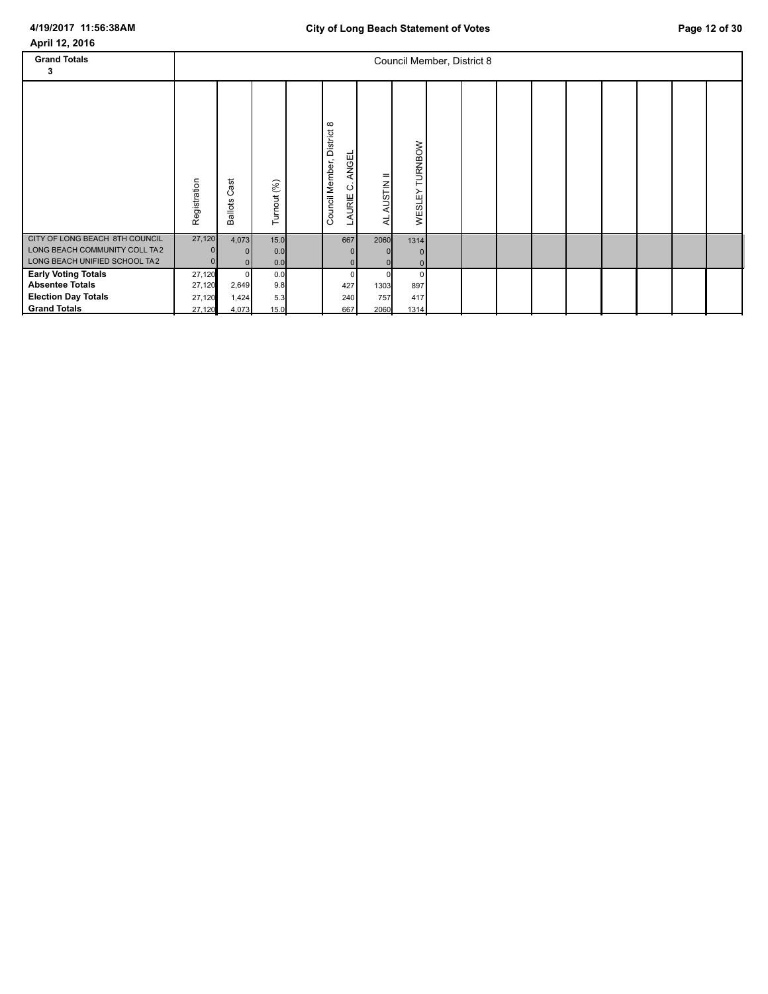| April 12, 2016                                                                                            |                                      |                              |                           |                                                                          |                     |                      |                            |  |  |  |  |
|-----------------------------------------------------------------------------------------------------------|--------------------------------------|------------------------------|---------------------------|--------------------------------------------------------------------------|---------------------|----------------------|----------------------------|--|--|--|--|
| <b>Grand Totals</b><br>3                                                                                  |                                      |                              |                           |                                                                          |                     |                      | Council Member, District 8 |  |  |  |  |
|                                                                                                           | Registration                         | ä<br>ပ<br><b>Ballots</b>     | Turnout (%)               | $\infty$<br>District<br><b>ANGEL</b><br>Member,<br>Ö<br>AURIE<br>Council | AUSTIN II<br>₹      | TURNBOW<br>WESLEY    |                            |  |  |  |  |
| CITY OF LONG BEACH 8TH COUNCIL<br>LONG BEACH COMMUNITY COLL TA2<br>LONG BEACH UNIFIED SCHOOL TA2          | 27,120                               | 4,073<br>$\Omega$<br> 0      | $15.0$<br>0.0<br>0.0      | 667<br>$\mathbf 0$<br> 0                                                 | 2060                | 1314                 |                            |  |  |  |  |
| <b>Early Voting Totals</b><br><b>Absentee Totals</b><br><b>Election Day Totals</b><br><b>Grand Totals</b> | 27,120<br>27,120<br>27,120<br>27,120 | 0<br>2,649<br>1,424<br>4,073 | 0.0<br>9.8<br>5.3<br>15.0 | 0<br>427<br>240<br>667                                                   | 1303<br>757<br>2060 | 897<br>417<br>$1314$ |                            |  |  |  |  |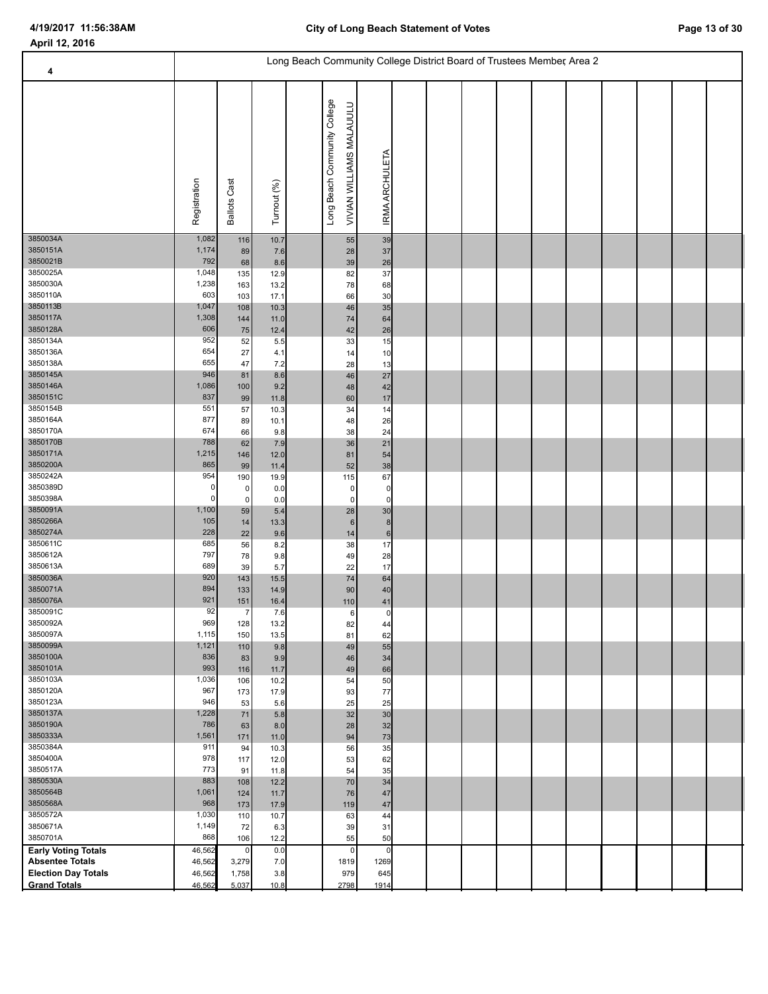| 4                                                    |                                |                               |                            | Long Beach Community College District Board of Trustees Member, Area 2 |                                                          |                                        |  |  |  |  |  |
|------------------------------------------------------|--------------------------------|-------------------------------|----------------------------|------------------------------------------------------------------------|----------------------------------------------------------|----------------------------------------|--|--|--|--|--|
|                                                      | Registration                   | <b>Ballots Cast</b>           | Turnout (%)                |                                                                        | Long Beach Community College<br>VIVIAN WILLIAMS MALAUULU | IRMA ARCHULETA                         |  |  |  |  |  |
| 3850034A<br>3850151A<br>3850021B<br>3850025A         | 1,082<br>1,174<br>792<br>1,048 | 116<br>89<br>68<br>135        | 10.7<br>7.6<br>8.6<br>12.9 |                                                                        | 55<br>28<br>39<br>82                                     | 39<br>37<br>26<br>37                   |  |  |  |  |  |
| 3850030A<br>3850110A                                 | 1,238<br>603                   | 163<br>103                    | 13.2<br>17.1               |                                                                        | 78<br>66                                                 | 68<br>30                               |  |  |  |  |  |
| 3850113B<br>3850117A<br>3850128A                     | 1,047<br>1,308<br>606          | 108<br>144<br>75              | 10.3<br>11.0<br>12.4       |                                                                        | 46<br>74<br>42                                           | 35<br>64<br>26                         |  |  |  |  |  |
| 3850134A<br>3850136A<br>3850138A                     | 952<br>654<br>655              | 52<br>27                      | 5.5<br>4.1                 |                                                                        | 33<br>14                                                 | 15<br>10                               |  |  |  |  |  |
| 3850145A<br>3850146A<br>3850151C                     | 946<br>1,086<br>837            | 47<br>81<br>100<br>99         | 7.2<br>8.6<br>9.2<br>11.8  |                                                                        | 28<br>46<br>48<br>60                                     | 13<br>27<br>42<br>17                   |  |  |  |  |  |
| 3850154B<br>3850164A<br>3850170A                     | 551<br>877<br>674              | 57<br>89<br>66                | 10.3<br>10.1<br>9.8        |                                                                        | 34<br>48<br>38                                           | 14<br>26<br>24                         |  |  |  |  |  |
| 3850170B<br>3850171A<br>3850200A<br>3850242A         | 788<br>1,215<br>865            | 62<br>146<br>99               | 7.9<br>12.0<br>11.4        |                                                                        | $36\,$<br>81<br>52                                       | 21<br>54<br>38                         |  |  |  |  |  |
| 3850389D<br>3850398A<br>3850091A                     | 954<br>0<br>0<br>1,100         | 190<br>0<br>$\mathbf 0$<br>59 | 19.9<br>0.0<br>0.0<br>5.4  |                                                                        | 115<br>$\overline{0}$<br>$\overline{0}$<br>28            | 67<br>$\mathbf 0$<br>$\mathbf 0$<br>30 |  |  |  |  |  |
| 3850266A<br>3850274A<br>3850611C                     | 105<br>228<br>685              | 14<br>22<br>56                | 13.3<br>9.6<br>8.2         |                                                                        | $6 \overline{6}$<br>14<br>38                             | $\bf8$<br>$\,$ 6 $\,$<br>17            |  |  |  |  |  |
| 3850612A<br>3850613A<br>3850036A                     | 797<br>689<br>920              | 78<br>39<br>143               | 9.8<br>5.7<br>15.5         |                                                                        | 49<br>22<br>${\bf 74}$                                   | 28<br>17<br>64                         |  |  |  |  |  |
| 3850071A<br>3850076A                                 | 894<br>921                     | 133<br>151                    | 14.9<br>16.4               |                                                                        | $90\,$<br>110                                            | 40<br>41                               |  |  |  |  |  |
| 3850091C<br>3850092A<br>3850097A                     | 92<br>969<br>1,115             | $\overline{7}$<br>128<br>150  | 7.6<br>13.2<br>13.5        |                                                                        | 6<br>82<br>81                                            | $\Omega$<br>44<br>62                   |  |  |  |  |  |
| 3850099A<br>3850100A<br>3850101A                     | 1,121<br>836<br>993            | 110<br>83<br>116              | 9.8<br>9.9<br>11.7         |                                                                        | 49<br>46<br>49                                           | 55<br>34<br>66                         |  |  |  |  |  |
| 3850103A<br>3850120A<br>3850123A                     | 1,036<br>967                   | 106<br>173                    | 10.2<br>17.9               |                                                                        | 54<br>93                                                 | 50<br>77                               |  |  |  |  |  |
| 3850137A<br>3850190A                                 | 946<br>1,228<br>786            | 53<br>71<br>63                | 5.6<br>5.8<br>8.0          |                                                                        | 25<br>32<br>28                                           | 25<br>30<br>32                         |  |  |  |  |  |
| 3850333A<br>3850384A<br>3850400A                     | 1,561<br>911<br>978            | 171<br>94<br>117              | 11.0<br>10.3<br>12.0       |                                                                        | 94<br>56<br>53                                           | 73<br>35<br>62                         |  |  |  |  |  |
| 3850517A<br>3850530A                                 | 773<br>883                     | 91<br>108                     | 11.8<br>12.2               |                                                                        | 54<br>70                                                 | 35<br>34                               |  |  |  |  |  |
| 3850564B<br>3850568A<br>3850572A                     | 1,061<br>968<br>1,030          | 124<br>173<br>110             | 11.7<br>17.9<br>10.7       |                                                                        | 76<br>119<br>63                                          | 47<br>47<br>44                         |  |  |  |  |  |
| 3850671A<br>3850701A                                 | 1,149<br>868                   | 72<br>106                     | 6.3<br>12.2                |                                                                        | 39<br>55                                                 | 31<br>50                               |  |  |  |  |  |
| <b>Early Voting Totals</b><br><b>Absentee Totals</b> | 46,562<br>46,562               | $\pmb{0}$<br>3,279            | 0.0<br>7.0                 |                                                                        | $\mathsf 0$<br>1819                                      | $\mathbf 0$<br>1269                    |  |  |  |  |  |
| <b>Election Day Totals</b><br><b>Grand Totals</b>    | 46,562<br>46,562               | 1,758<br>5,037                | 3.8<br>10.8                |                                                                        | 979<br>2798                                              | 645<br>1914                            |  |  |  |  |  |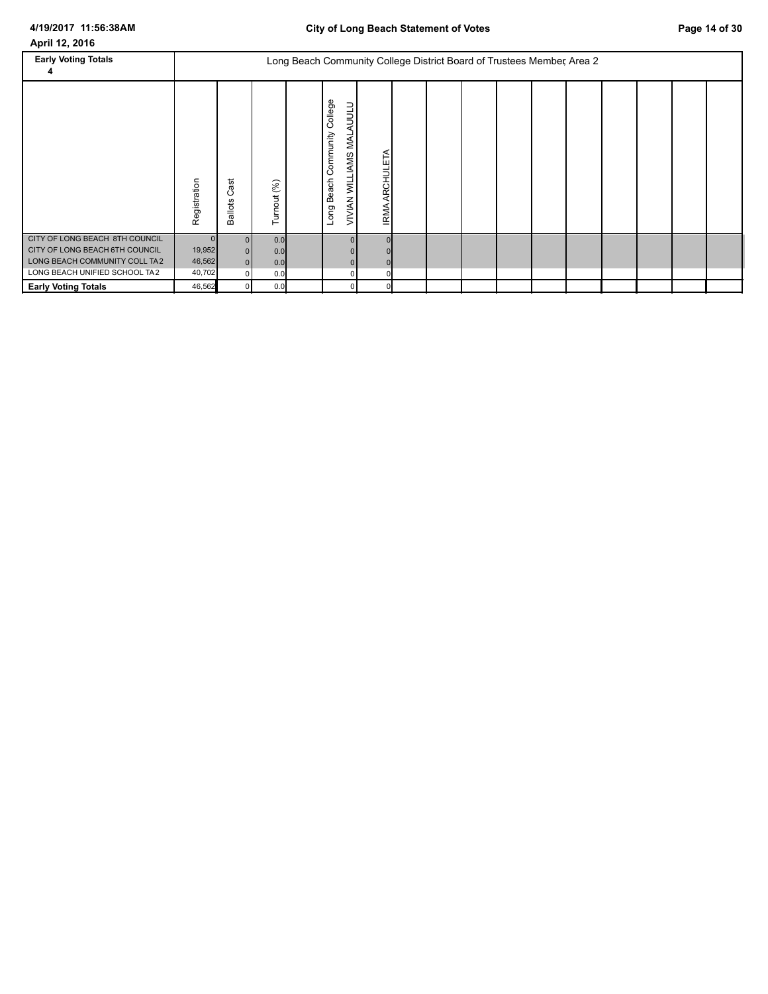| <b>Early Voting Totals</b>                                                                                                         |                                        |                             |                          |                                                                              | Long Beach Community College District Board of Trustees Member, Area 2 |  |  |  |  |  |
|------------------------------------------------------------------------------------------------------------------------------------|----------------------------------------|-----------------------------|--------------------------|------------------------------------------------------------------------------|------------------------------------------------------------------------|--|--|--|--|--|
|                                                                                                                                    | Registration                           | ast<br>ن<br><b>Ballots</b>  | Turnout (%)              | College<br>AUULU<br>Community<br><b>NAL</b><br>VIVIAN WILLIAMS<br>Long Beach | ARCHULETA<br><b>IRMA</b>                                               |  |  |  |  |  |
| CITY OF LONG BEACH 8TH COUNCIL<br>CITY OF LONG BEACH 6TH COUNCIL<br>LONG BEACH COMMUNITY COLL TA2<br>LONG BEACH UNIFIED SCHOOL TA2 | $\Omega$<br>19,952<br>46,562<br>40,702 | 0 <br> 0 <br> 0 <br>$\circ$ | 0.0<br>0.0<br>0.0<br>0.0 | $\Omega$                                                                     |                                                                        |  |  |  |  |  |
| <b>Early Voting Totals</b>                                                                                                         | 46,562                                 | $\overline{0}$              | 0.0                      |                                                                              |                                                                        |  |  |  |  |  |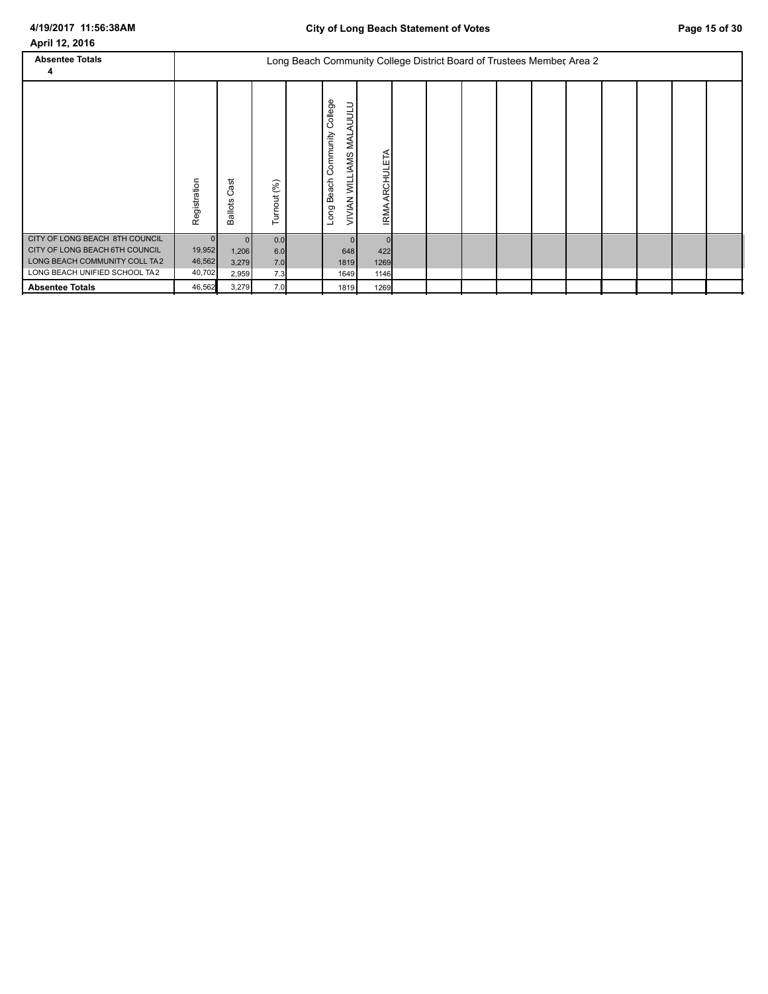| 4/19/2017 11:56:38AM<br>April 12, 2016                          |                  |                            |             |                                                                        |                                                                    |                          | <b>City of Long Beach Statement of Votes</b> |  |  |  | Page 15 of 30 |
|-----------------------------------------------------------------|------------------|----------------------------|-------------|------------------------------------------------------------------------|--------------------------------------------------------------------|--------------------------|----------------------------------------------|--|--|--|---------------|
| <b>Absentee Totals</b><br>4                                     |                  |                            |             | Long Beach Community College District Board of Trustees Member, Area 2 |                                                                    |                          |                                              |  |  |  |               |
|                                                                 | Registration     | ast<br>ပ<br><b>Ballots</b> | Turnout (%) |                                                                        | College<br>AUULU<br>Community<br>VIVIAN WILLIAMS MAL<br>Long Beach | ARCHULETA<br><b>IRMA</b> |                                              |  |  |  |               |
| CITY OF LONG BEACH 8TH COUNCIL                                  | $\mathbf{0}$     |                            | 0.0         |                                                                        |                                                                    |                          |                                              |  |  |  |               |
| CITY OF LONG BEACH 6TH COUNCIL<br>LONG BEACH COMMUNITY COLL TA2 | 19,952           | 1,206                      | 6.0         |                                                                        | 648                                                                | 422                      |                                              |  |  |  |               |
| LONG BEACH UNIFIED SCHOOL TA2                                   | 46,562<br>40,702 | 3,279<br>2,959             | 7.0<br>7.3  |                                                                        | 1819<br>1649                                                       | 1269<br>1146             |                                              |  |  |  |               |
| <b>Absentee Totals</b>                                          | 46,562           | 3,279                      | 7.0         |                                                                        | 1819                                                               | 1269                     |                                              |  |  |  |               |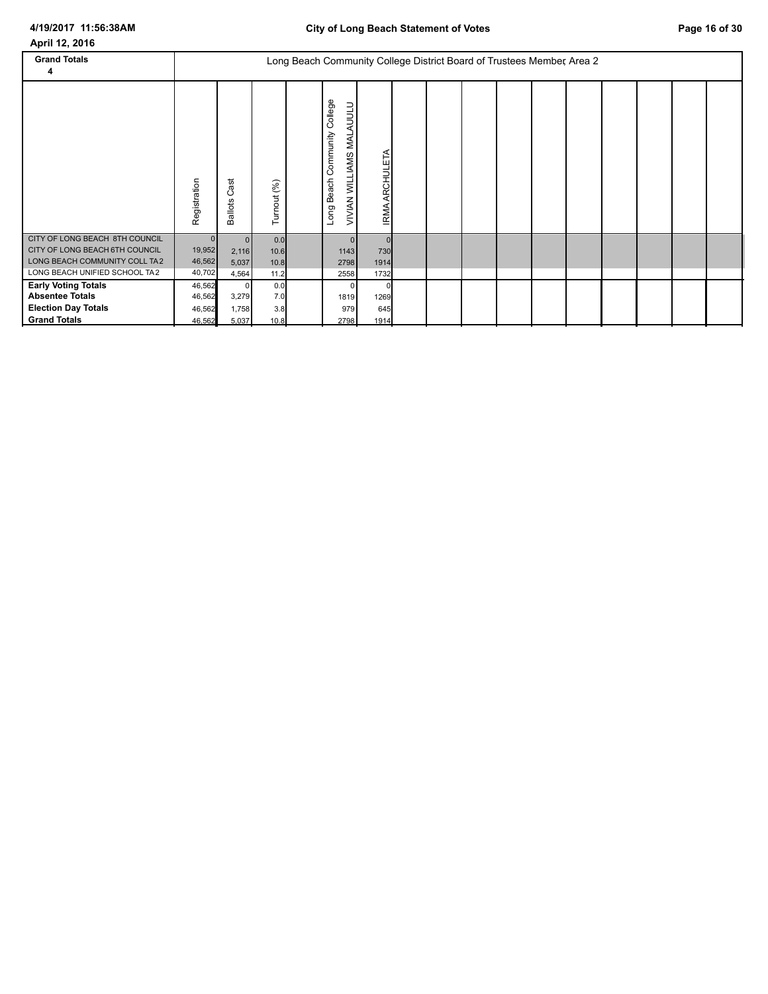| <b>Grand Totals</b><br>4                                                                                                           |                                            |                                         |                             | Long Beach Community College District Board of Trustees Member, Area 2 |                                                                          |                     |  |  |  |  |  |
|------------------------------------------------------------------------------------------------------------------------------------|--------------------------------------------|-----------------------------------------|-----------------------------|------------------------------------------------------------------------|--------------------------------------------------------------------------|---------------------|--|--|--|--|--|
|                                                                                                                                    | Registration                               | ä<br>ပ<br><b>Ballots</b>                | Turnout (%)                 |                                                                        | College<br>AUULU<br>Community<br>MAL<br>VIVIAN WILLIAMS<br>Beach<br>Long | ARCHULETA<br>IRMA.  |  |  |  |  |  |
| CITY OF LONG BEACH 8TH COUNCIL<br>CITY OF LONG BEACH 6TH COUNCIL<br>LONG BEACH COMMUNITY COLL TA2<br>LONG BEACH UNIFIED SCHOOL TA2 | $\mathbf{0}$<br>19,952<br>46,562<br>40,702 | $\mathbf{0}$<br>2,116<br>5,037<br>4,564 | 0.0<br>10.6<br>10.8<br>11.2 |                                                                        | n<br>1143<br>2798<br>2558                                                | 730<br>1914<br>1732 |  |  |  |  |  |
| <b>Early Voting Totals</b><br><b>Absentee Totals</b><br><b>Election Day Totals</b><br><b>Grand Totals</b>                          | 46,562<br>46,562<br>46,562<br>46,562       | 0<br>3,279<br>1,758<br>5,037            | 0.0<br>7.0<br>3.8<br>10.8   |                                                                        | 1819<br>979<br>2798                                                      | 1269<br>645<br>1914 |  |  |  |  |  |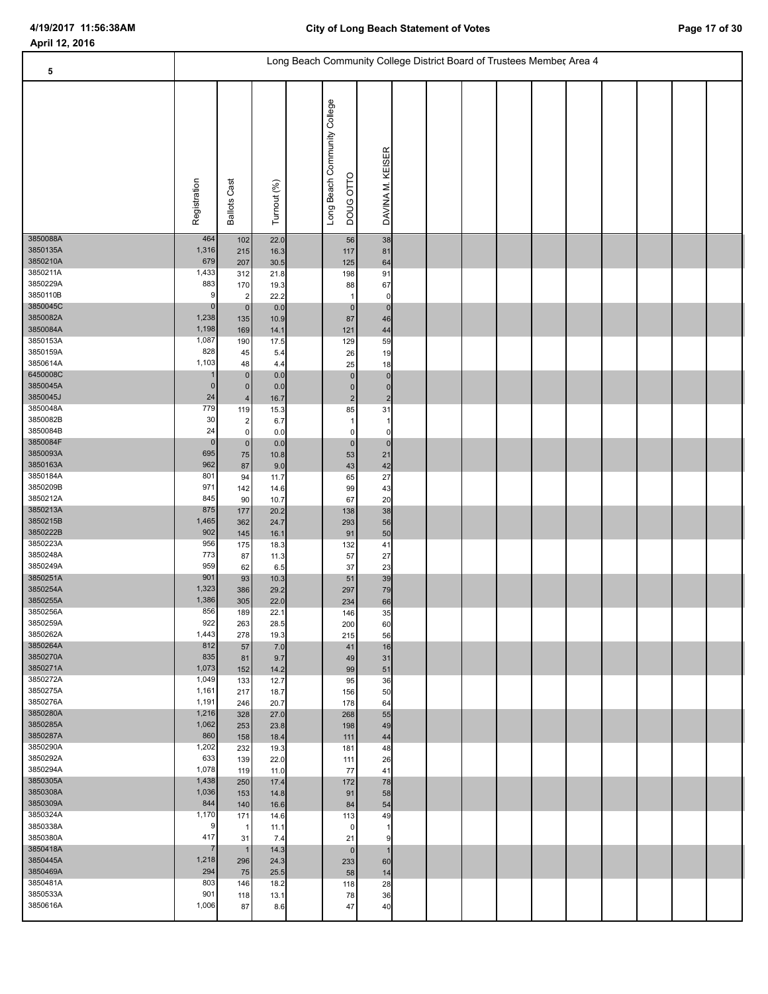| 5                    |                      |                               |              |                                           | Long Beach Community College District Board of Trustees Member, Area 4 |  |  |  |  |  |
|----------------------|----------------------|-------------------------------|--------------|-------------------------------------------|------------------------------------------------------------------------|--|--|--|--|--|
|                      |                      |                               |              |                                           |                                                                        |  |  |  |  |  |
|                      | Registration         | <b>Ballots Cast</b>           | Turnout (%)  | Long Beach Community College<br>DOUG OTTO | DAVINA M. KEISER                                                       |  |  |  |  |  |
| 3850088A<br>3850135A | 464<br>1,316         | 102<br>215                    | 22.0<br>16.3 | 56<br>117                                 | 38<br>81                                                               |  |  |  |  |  |
| 3850210A             | 679                  | 207                           | 30.5         | 125                                       | 64                                                                     |  |  |  |  |  |
| 3850211A<br>3850229A | 1,433<br>883         | 312<br>170                    | 21.8<br>19.3 | 198<br>88                                 | 91<br>67                                                               |  |  |  |  |  |
| 3850110B             | 9                    | $\sqrt{2}$                    | 22.2         | $\mathbf{1}$                              | $\Omega$                                                               |  |  |  |  |  |
| 3850045C<br>3850082A | $\mathbf 0$<br>1,238 | $\pmb{0}$<br>135              | 0.0<br>10.9  | $\mathbf 0$<br>87                         | $\mathbf 0$<br>46                                                      |  |  |  |  |  |
| 3850084A             | 1,198                | 169                           | 14.1         | 121                                       | 44                                                                     |  |  |  |  |  |
| 3850153A             | 1,087                | 190                           | 17.5         | 129                                       | 59                                                                     |  |  |  |  |  |
| 3850159A<br>3850614A | 828<br>1,103         | 45<br>48                      | 5.4<br>4.4   | 26<br>25                                  | 19<br>18                                                               |  |  |  |  |  |
| 6450008C             |                      | $\pmb{0}$                     | 0.0          | $\pmb{0}$                                 | 0                                                                      |  |  |  |  |  |
| 3850045A<br>3850045J | $\mathbf{0}$<br>24   | $\pmb{0}$<br>$\sqrt{4}$       | 0.0<br>16.7  | $\pmb{0}$<br>$\mathbf 2$                  | $\mathbf 0$<br>$\overline{2}$                                          |  |  |  |  |  |
| 3850048A             | 779                  | 119                           | 15.3         | 85                                        | 31                                                                     |  |  |  |  |  |
| 3850082B<br>3850084B | 30<br>24             | $\mathbf{2}$                  | 6.7          | 1                                         |                                                                        |  |  |  |  |  |
| 3850084F             | $\pmb{0}$            | $\mathbf 0$<br>$\overline{0}$ | 0.0<br>0.0   | $\mathbf 0$<br>$\pmb{0}$                  | 0<br>0                                                                 |  |  |  |  |  |
| 3850093A             | 695                  | 75                            | 10.8         | 53                                        | 21                                                                     |  |  |  |  |  |
| 3850163A<br>3850184A | 962<br>801           | 87<br>94                      | 9.0<br>11.7  | 43<br>65                                  | 42<br>27                                                               |  |  |  |  |  |
| 3850209B             | 971                  | 142                           | 14.6         | 99                                        | 43                                                                     |  |  |  |  |  |
| 3850212A<br>3850213A | 845<br>875           | 90                            | 10.7         | 67                                        | 20                                                                     |  |  |  |  |  |
| 3850215B             | 1,465                | 177<br>362                    | 20.2<br>24.7 | 138<br>293                                | 38<br>56                                                               |  |  |  |  |  |
| 3850222B             | 902                  | 145                           | 16.1         | 91                                        | 50                                                                     |  |  |  |  |  |
| 3850223A<br>3850248A | 956<br>773           | 175<br>87                     | 18.3<br>11.3 | 132<br>57                                 | 41<br>27                                                               |  |  |  |  |  |
| 3850249A             | 959                  | 62                            | 6.5          | 37                                        | 23                                                                     |  |  |  |  |  |
| 3850251A<br>3850254A | 901<br>1,323         | 93<br>386                     | 10.3<br>29.2 | 51<br>297                                 | 39<br>79                                                               |  |  |  |  |  |
| 3850255A             | 1,386                | 305                           | 22.0         | 234                                       | 66                                                                     |  |  |  |  |  |
| 3850256A<br>3850259A | 856<br>922           | 189                           | 22.1         | 146                                       | 35                                                                     |  |  |  |  |  |
| 3850262A             | 1,443                | 263<br>278                    | 28.5<br>19.3 | 200<br>215                                | 60<br>56                                                               |  |  |  |  |  |
| 3850264A             | 812                  | 57                            | 7.0          | 41                                        | 16                                                                     |  |  |  |  |  |
| 3850270A<br>3850271A | 835<br>1,073         | 81<br>152                     | 9.7<br>14.2  | 49<br>99                                  | 31<br>51                                                               |  |  |  |  |  |
| 3850272A             | 1,049                | 133                           | 12.7         | 95                                        | 36                                                                     |  |  |  |  |  |
| 3850275A<br>3850276A | 1,161<br>1,191       | 217<br>246                    | 18.7<br>20.7 | 156<br>178                                | 50<br>64                                                               |  |  |  |  |  |
| 3850280A             | 1,216                | 328                           | 27.0         | 268                                       | 55                                                                     |  |  |  |  |  |
| 3850285A<br>3850287A | 1,062<br>860         | 253                           | 23.8         | 198                                       | 49                                                                     |  |  |  |  |  |
| 3850290A             | 1,202                | 158<br>232                    | 18.4<br>19.3 | 111<br>181                                | 44<br>48                                                               |  |  |  |  |  |
| 3850292A             | 633                  | 139                           | 22.0         | 111                                       | 26                                                                     |  |  |  |  |  |
| 3850294A<br>3850305A | 1,078<br>1,438       | 119<br>250                    | 11.0<br>17.4 | 77<br>172                                 | 41<br>78                                                               |  |  |  |  |  |
| 3850308A             | 1,036                | 153                           | 14.8         | 91                                        | 58                                                                     |  |  |  |  |  |
| 3850309A<br>3850324A | 844<br>1,170         | 140                           | 16.6         | 84                                        | 54                                                                     |  |  |  |  |  |
| 3850338A             | 9                    | 171<br>$\mathbf{1}$           | 14.6<br>11.1 | 113<br>0                                  | 49                                                                     |  |  |  |  |  |
| 3850380A             | 417                  | 31                            | 7.4          | 21                                        | 9                                                                      |  |  |  |  |  |
| 3850418A<br>3850445A | 7<br>1,218           | $\mathbf{1}$<br>296           | 14.3<br>24.3 | $\mathbf 0$<br>233                        | $\mathbf 1$<br>60                                                      |  |  |  |  |  |
| 3850469A             | 294                  | 75                            | 25.5         | 58                                        | 14                                                                     |  |  |  |  |  |
| 3850481A<br>3850533A | 803<br>901           | 146<br>118                    | 18.2<br>13.1 | 118<br>78                                 | 28<br>36                                                               |  |  |  |  |  |
| 3850616A             | 1,006                | 87                            | 8.6          | 47                                        | 40                                                                     |  |  |  |  |  |
|                      |                      |                               |              |                                           |                                                                        |  |  |  |  |  |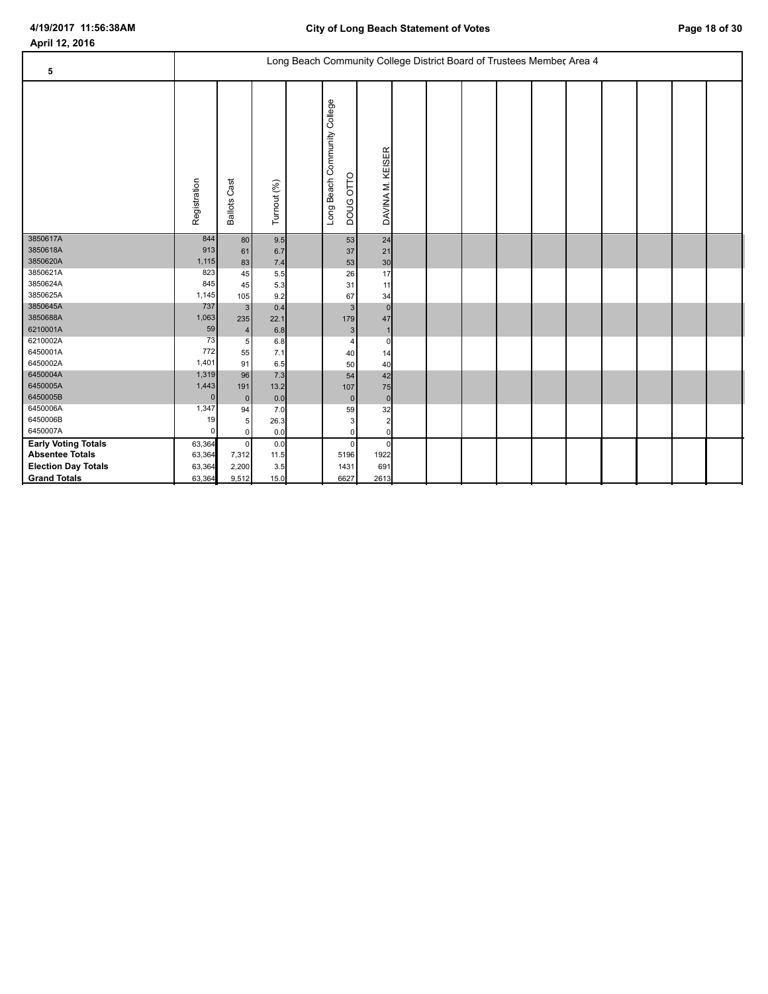| April 12, 2016             |                   |                      |             |                                                                        |                               |  |  |  |  |  |
|----------------------------|-------------------|----------------------|-------------|------------------------------------------------------------------------|-------------------------------|--|--|--|--|--|
|                            |                   |                      |             | Long Beach Community College District Board of Trustees Member, Area 4 |                               |  |  |  |  |  |
| 5                          |                   |                      |             |                                                                        |                               |  |  |  |  |  |
|                            | Registration      | <b>Ballots Cast</b>  | Turnout (%) | Long Beach Community College<br><b>DOUG OTTO</b>                       | DAVINA M. KEISER              |  |  |  |  |  |
| 3850617A                   | 844               | 80                   | 9.5         | 53                                                                     | 24                            |  |  |  |  |  |
| 3850618A                   | 913               | 61                   | 6.7         | 37                                                                     | 21                            |  |  |  |  |  |
| 3850620A                   | 1,115             | 83                   | 7.4         | 53                                                                     | 30                            |  |  |  |  |  |
| 3850621A                   | 823               | 45                   | 5.5         | 26                                                                     | 17                            |  |  |  |  |  |
| 3850624A                   | 845               | 45                   | 5.3         | 31                                                                     | 11                            |  |  |  |  |  |
| 3850625A                   | 1,145             | 105                  | 9.2         | 67                                                                     | 34                            |  |  |  |  |  |
| 3850645A                   | 737               | 3 <sup>1</sup>       | 0.4         |                                                                        | $\mathbf{3}$<br>$\mathbf 0$   |  |  |  |  |  |
| 3850688A                   | 1,063             | 235                  | 22.1        | 179                                                                    | 47                            |  |  |  |  |  |
| 6210001A                   | 59                | $\overline{4}$       | 6.8         |                                                                        | 3 <sup>1</sup>                |  |  |  |  |  |
| 6210002A                   | 73                | 5 <sup>5</sup>       | 6.8         |                                                                        | $\overline{4}$<br>0           |  |  |  |  |  |
| 6450001A                   | 772               | 55                   | 7.1         | 40                                                                     | 14                            |  |  |  |  |  |
| 6450002A                   | 1,401             | 91                   | 6.5         | 50                                                                     | 40                            |  |  |  |  |  |
| 6450004A<br>6450005A       | 1,319             | 96                   | 7.3         | 54                                                                     | 42                            |  |  |  |  |  |
| 6450005B                   | 1,443<br>$\Omega$ | 191                  | 13.2        | 107                                                                    | 75                            |  |  |  |  |  |
| 6450006A                   | 1,347             | 0                    | 0.0         | 59                                                                     | $\overline{0}$<br>$\mathbf 0$ |  |  |  |  |  |
| 6450006B                   | 19                | 94                   | 7.0         |                                                                        | 32                            |  |  |  |  |  |
| 6450007A                   | $\Omega$          | 5 <sup>5</sup><br> 0 | 26.3<br>0.0 |                                                                        | 3<br>2<br>0<br>$\mathbf{0}$   |  |  |  |  |  |
| <b>Early Voting Totals</b> | 63,364            | $\overline{0}$       | 0.0         |                                                                        | $\mathbf 0$<br>$\Omega$       |  |  |  |  |  |
| <b>Absentee Totals</b>     | 63,364            | 7,312                | 11.5        | 5196                                                                   | 1922                          |  |  |  |  |  |
| <b>Election Day Totals</b> | 63,364            | 2,200                | 3.5         | 1431                                                                   | 691                           |  |  |  |  |  |
| <b>Grand Totals</b>        | 63,364            | 9,512                | 15.0        | 6627                                                                   | 2613                          |  |  |  |  |  |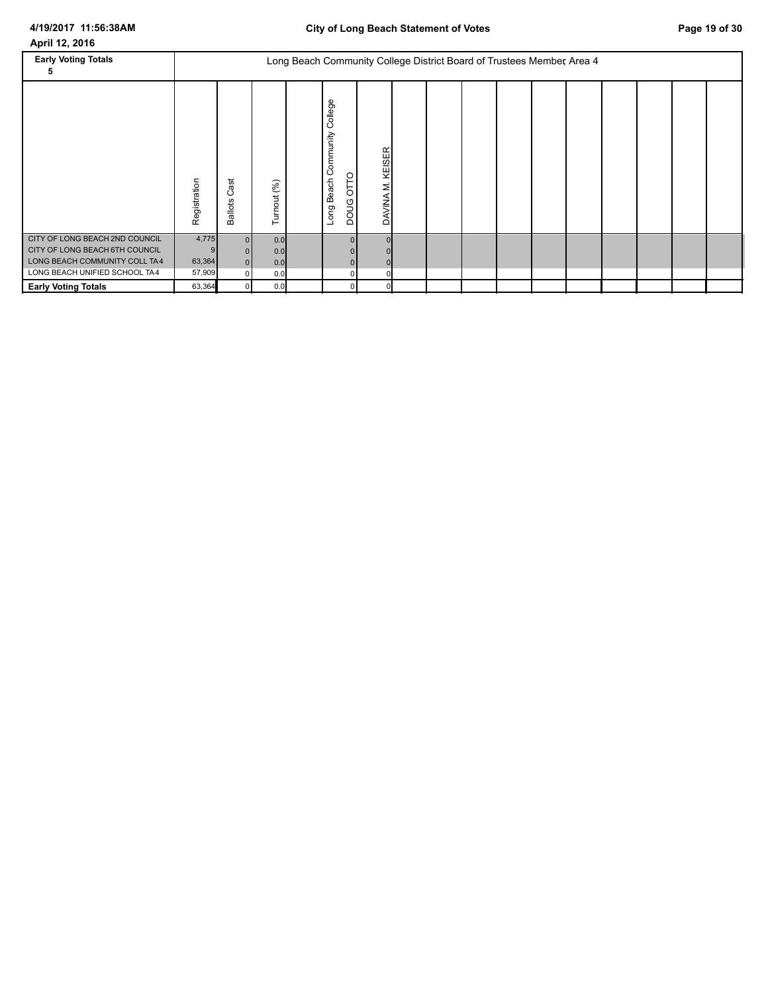| <b>Early Voting Totals</b>                                                                                                         |                           |                                  |                          |                                                           | Long Beach Community College District Board of Trustees Member, Area 4 |  |  |  |  |  |
|------------------------------------------------------------------------------------------------------------------------------------|---------------------------|----------------------------------|--------------------------|-----------------------------------------------------------|------------------------------------------------------------------------|--|--|--|--|--|
|                                                                                                                                    | Registration              | ast<br>ن<br><b>Ballots</b>       | Turnout (%)              | College<br>Community<br><b>DOUG OTTO</b><br>Beach<br>Long | KEISER<br>Σ<br><b>DAVINA</b>                                           |  |  |  |  |  |
| CITY OF LONG BEACH 2ND COUNCIL<br>CITY OF LONG BEACH 6TH COUNCIL<br>LONG BEACH COMMUNITY COLL TA4<br>LONG BEACH UNIFIED SCHOOL TA4 | 4,775<br>63,364<br>57,909 | $\Omega$<br>$\Omega$<br>$\Omega$ | 0.0<br>0.0<br>0.0<br>0.0 | 0                                                         |                                                                        |  |  |  |  |  |
| <b>Early Voting Totals</b>                                                                                                         | 63,364                    | $\Omega$                         | 0.0                      | $\Omega$                                                  |                                                                        |  |  |  |  |  |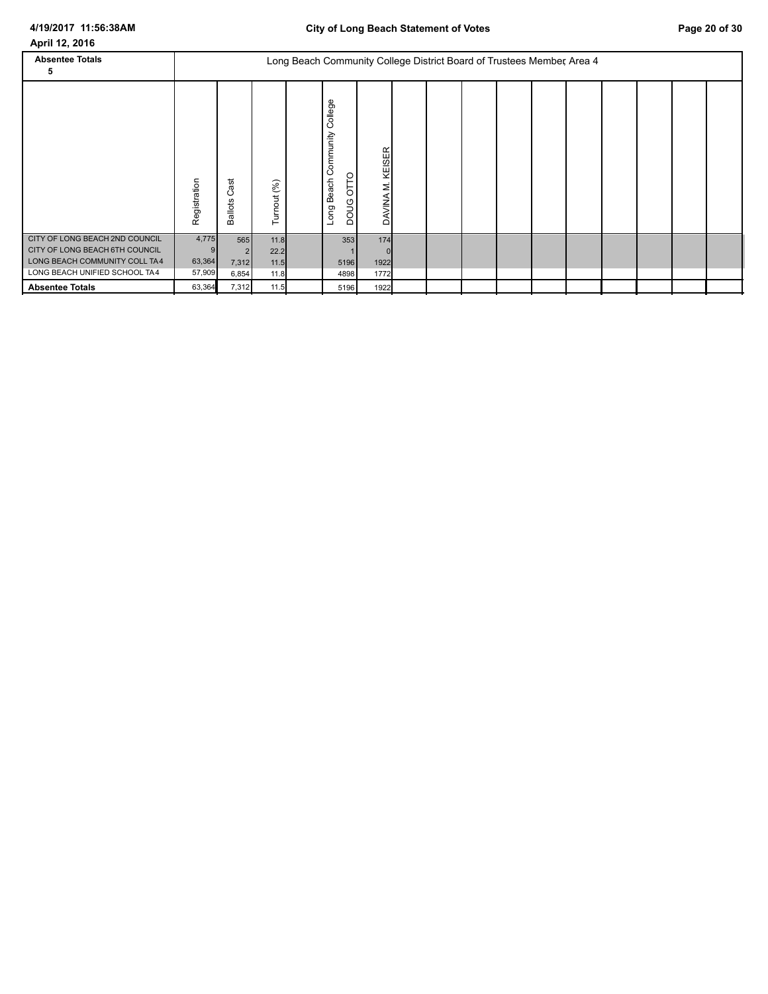| <b>Absentee Totals</b><br>5                                                                                                        |                           |                                         |                              | Long Beach Community College District Board of Trustees Member, Area 4 |                                                       |                     |  |  |  |  |  |
|------------------------------------------------------------------------------------------------------------------------------------|---------------------------|-----------------------------------------|------------------------------|------------------------------------------------------------------------|-------------------------------------------------------|---------------------|--|--|--|--|--|
|                                                                                                                                    | Registration              | ast<br>ပ<br><b>Ballots</b>              | Turnout (%)                  |                                                                        | College<br>Community<br>OTTO<br>Beach<br>poug<br>Long | KEISER<br>DAVINA M  |  |  |  |  |  |
| CITY OF LONG BEACH 2ND COUNCIL<br>CITY OF LONG BEACH 6TH COUNCIL<br>LONG BEACH COMMUNITY COLL TA4<br>LONG BEACH UNIFIED SCHOOL TA4 | 4,775<br>63,364<br>57,909 | 565<br>$\overline{2}$<br>7,312<br>6,854 | 11.8<br>22.2<br>11.5<br>11.8 |                                                                        | 353<br>5196<br>4898                                   | 174<br>1922<br>1772 |  |  |  |  |  |
| <b>Absentee Totals</b>                                                                                                             | 63,364                    | 7,312                                   | 11.5                         |                                                                        | 5196                                                  | 1922                |  |  |  |  |  |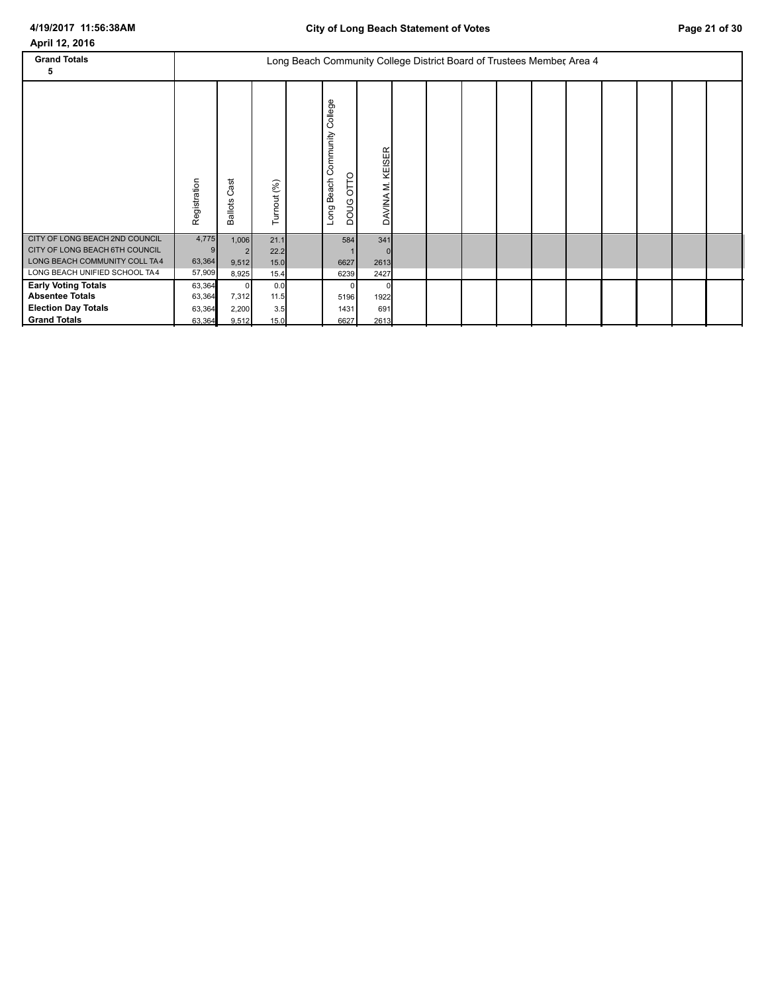| <b>Grand Totals</b><br>5                                                                                                           |                                      |                                        |                              | Long Beach Community College District Board of Trustees Member, Area 4 |                                                       |                     |  |  |  |  |  |
|------------------------------------------------------------------------------------------------------------------------------------|--------------------------------------|----------------------------------------|------------------------------|------------------------------------------------------------------------|-------------------------------------------------------|---------------------|--|--|--|--|--|
|                                                                                                                                    | Registration                         | ast<br>ن<br><b>Ballots</b>             | Turnout (%)                  |                                                                        | College<br>Community<br>OTTO<br>Beach<br>poug<br>Long | KEISER<br>DAVINA M. |  |  |  |  |  |
| CITY OF LONG BEACH 2ND COUNCIL<br>CITY OF LONG BEACH 6TH COUNCIL<br>LONG BEACH COMMUNITY COLL TA4<br>LONG BEACH UNIFIED SCHOOL TA4 | 4,775<br>63,364<br>57,909            | 1,006<br>9,512<br>8,925                | 21.1<br>22.2<br>15.0<br>15.4 |                                                                        | 584<br>6627<br>6239                                   | 341<br>2613<br>2427 |  |  |  |  |  |
| <b>Early Voting Totals</b><br><b>Absentee Totals</b><br><b>Election Day Totals</b><br><b>Grand Totals</b>                          | 63,364<br>63,364<br>63,364<br>63,364 | $\mathbf 0$<br>7,312<br>2,200<br>9,512 | 0.0<br>11.5<br>3.5<br>15.0   |                                                                        | 5196<br>1431<br>6627                                  | 1922<br>691<br>2613 |  |  |  |  |  |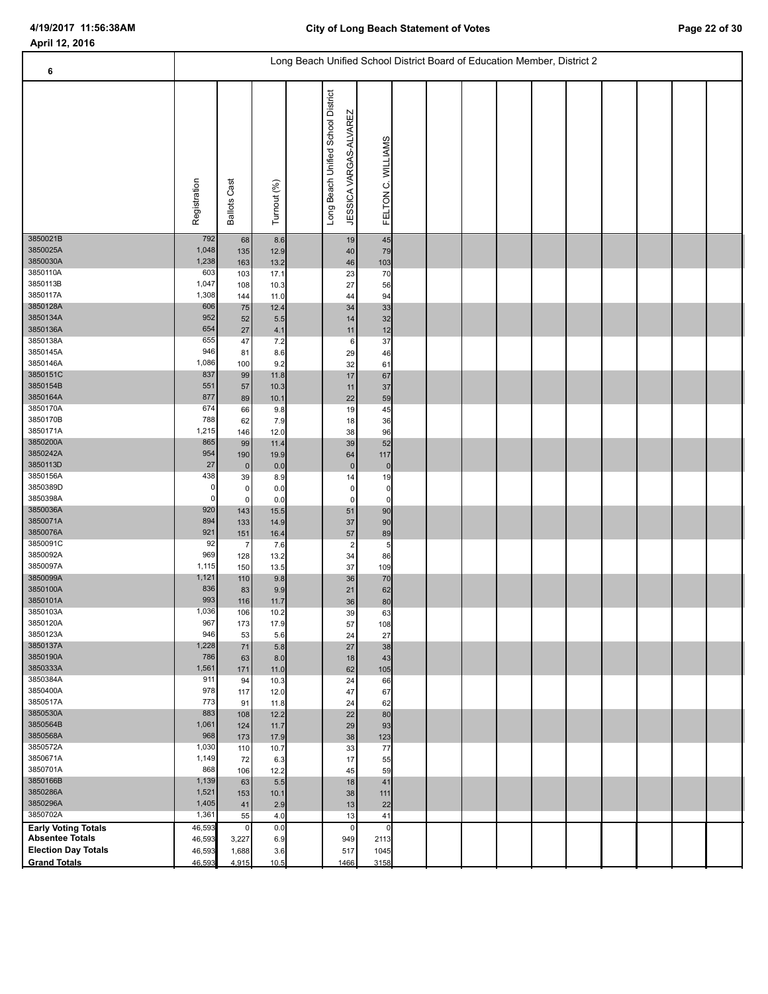#### Long Beach Unified School District Board of Education Member, District 2  **6** Registration<br>Ballots Cast<br>Turnout (%)<br>Long Beach Unified School District<br>JESSICA VARGAS-ALVAREZ<br>FELTON C. WILLIAMS 3850021B 68 | 8.6 | | 45 | | 3850025A 1,048 135 12.9 40 79 3850030A 1,238 163 13.2 46 103 3850110A 603 103 17.1 23 70 3850113B 1,047 108 10.3 27 56 3850117A 1,308 144 11.0 44 94 3850128A 606 75 12.4 34 33 3850134A 952 52 5.5 14 32 3850136A 654 27 4.1 11 12 3850138A 655 47 7.2 6 37 3850145A 946 81 8.6 29 46 3850146A 1,086 100 9.2 32 61 3850151C 837 99 11.8 17 67 3850154B 551 57 10.3 11 37 3850164A 877 89 10.1 22 59 3850170A 674 66 9.8 19 45 3850170B 788 62 7.9 18 36 3850171A 1,215 146 12.0 38 96 3850200A | 865| 99| 11.4| | 39| 52| | | | 3850242A 954 190 19.9 64 117 3850113D 27 0 0.0 0 0 3850156A 438 39 8.9 14 19 3850389D 0 0 0.0 0 0 3850398A 0 0 0.0 0 0 3850036A 920 143 15.5 51 90 3850071A 894 133 14.9 37 90 3850076A 921 151 16.4 57 89 3850091C 92 7 7.6 2 5 3850092A 969 128 13.2 34 86 3850097A 1,115 150 13.5 37 109 3850099A 1,121 110 9.8 36 70 3850100A 836 83 9.9 21 62 3850101A 993 116 11.7 36 80 3850103A 1,036 106 10.2 39 63 3850120A 967 173 17.9 57 108 3850123A 946 53 5.6 24 27 3850137A 1,228 71 5.8 27 38 3850190A 786 63 8.0 18 43 1 1 3850333A 1,561 171 11.0 62 105 3850384A 911 94 10.3 24 66 3850400A 978 117 12.0 47 67 3850517A 773 91 11.8 24 62 3850530A 883 108 12.2 22 80 3850564B 1,061 124 11.7 29 93 3850568A 968 173 17.9 38 123 3850572A 1,030 110 10.7 33 77 3850671A 1,149 72 6.3 17 55 3850701A 868 106 12.2 45 59 3850166B 1,139 63 5.5 18 41 3850286A 1,521 153 10.1 38 111 3850296A 1,405 41 2.9 13 22 3850702A 1,361 55 4.0 13 41 **Absentee Totals Early Voting Totals Election Day Totals 1,688** 3.6 3.6 3.7 **Grand Totals** 0 0 1 949 2113 517 1045 1466 0 3158  $\begin{bmatrix} 0 & 0.0 \\ 27 & 6.9 \end{bmatrix}$  3,227 1,688 46,593 46,593 46,593 0.0 949 46,593 4,915 10.5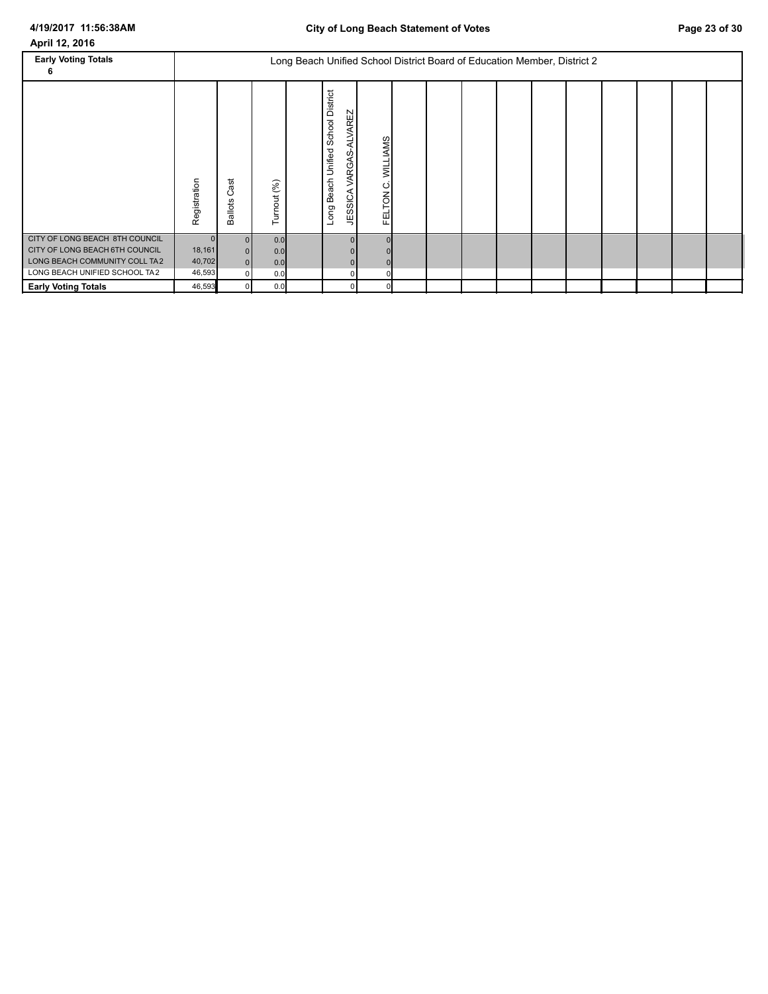| <b>Early Voting Totals</b><br>6                                                                                                    |                            |                                                          |                          | Long Beach Unified School District Board of Education Member, District 2 |                                                                                                      |                                |  |  |  |  |  |
|------------------------------------------------------------------------------------------------------------------------------------|----------------------------|----------------------------------------------------------|--------------------------|--------------------------------------------------------------------------|------------------------------------------------------------------------------------------------------|--------------------------------|--|--|--|--|--|
|                                                                                                                                    | Registration               | ಕ<br>σ<br>ပ<br><b>Ballots</b>                            | Turnout (%)              |                                                                          | School District<br><b>ALVAREZ</b><br>Unified:<br>9<br><b>VARG</b><br>Beach<br><b>JESSICA</b><br>Long | <b>WILLIAMS</b><br>ပ<br>FELTON |  |  |  |  |  |
| CITY OF LONG BEACH 8TH COUNCIL<br>CITY OF LONG BEACH 6TH COUNCIL<br>LONG BEACH COMMUNITY COLL TA2<br>LONG BEACH UNIFIED SCHOOL TA2 | 18,161<br>40,702<br>46,593 | $\overline{0}$<br>$\Omega$<br>$\Omega$<br>$\overline{0}$ | 0.0<br>0.0<br>0.0<br>0.0 |                                                                          |                                                                                                      |                                |  |  |  |  |  |
| <b>Early Voting Totals</b>                                                                                                         | 46,593                     |                                                          | 0.0                      |                                                                          |                                                                                                      |                                |  |  |  |  |  |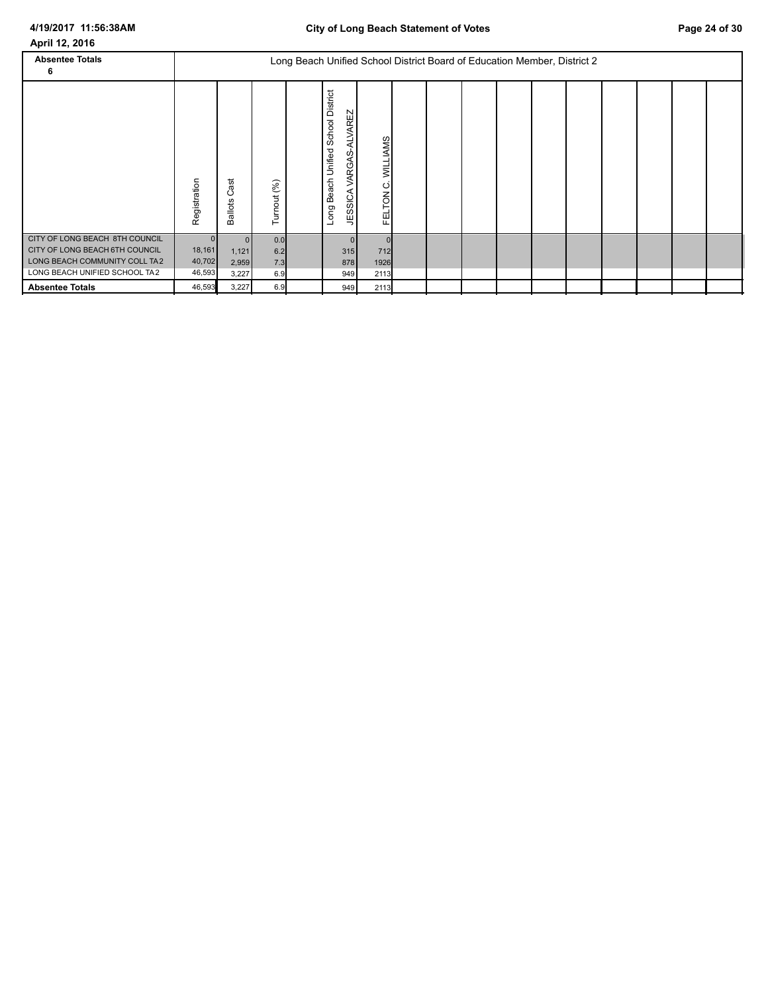| <b>Absentee Totals</b><br>6                                                                                                        |                                              |                                     |                          |                                                                                             | Long Beach Unified School District Board of Education Member, District 2 |  |  |  |  |  |
|------------------------------------------------------------------------------------------------------------------------------------|----------------------------------------------|-------------------------------------|--------------------------|---------------------------------------------------------------------------------------------|--------------------------------------------------------------------------|--|--|--|--|--|
|                                                                                                                                    | Registration                                 | ast<br>ပ<br><b>Ballots</b>          | Turnout (%)              | <b>School District</b><br>-ALVAREZ<br>Unified:<br>VARGAS<br>Beach<br><b>JESSICA</b><br>Long | <b>WILLIAMS</b><br>ပ<br><b>FELTON</b>                                    |  |  |  |  |  |
| CITY OF LONG BEACH 8TH COUNCIL<br>CITY OF LONG BEACH 6TH COUNCIL<br>LONG BEACH COMMUNITY COLL TA2<br>LONG BEACH UNIFIED SCHOOL TA2 | $\overline{0}$<br>18,161<br>40,702<br>46,593 | $\Omega$<br>1,121<br>2,959<br>3,227 | 0.0<br>6.2<br>7.3<br>6.9 | 315<br>878<br>949                                                                           | 712<br>1926<br>2113                                                      |  |  |  |  |  |
| <b>Absentee Totals</b>                                                                                                             | 46,593                                       | 3,227                               | 6.9                      | 949                                                                                         | 2113                                                                     |  |  |  |  |  |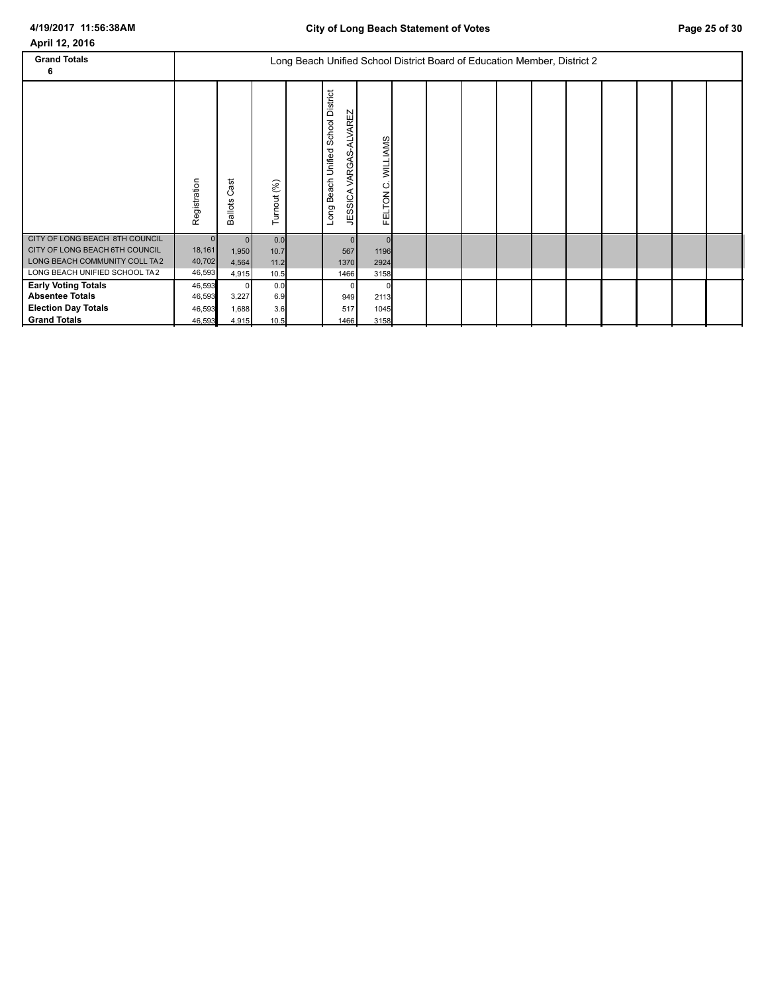| <b>Grand Totals</b><br>6                                                                                                           |                                            |                                        |                             | Long Beach Unified School District Board of Education Member, District 2 |                                                                                                   |                         |  |  |  |  |  |
|------------------------------------------------------------------------------------------------------------------------------------|--------------------------------------------|----------------------------------------|-----------------------------|--------------------------------------------------------------------------|---------------------------------------------------------------------------------------------------|-------------------------|--|--|--|--|--|
|                                                                                                                                    | Registration                               | ast<br>ပ<br><b>Ballots</b>             | Turnout (%)                 |                                                                          | School District<br><b>ALVAREZ</b><br>Unified:<br>Q<br>ଚ୍ଚ<br>≶<br>Beach<br><b>JESSICA</b><br>Long | WILLIAMS<br>Ó<br>FELTON |  |  |  |  |  |
| CITY OF LONG BEACH 8TH COUNCIL<br>CITY OF LONG BEACH 6TH COUNCIL<br>LONG BEACH COMMUNITY COLL TA2<br>LONG BEACH UNIFIED SCHOOL TA2 | $\mathbf{0}$<br>18,161<br>40,702<br>46,593 | $\Omega$<br>1,950<br>4,564<br>4,915    | 0.0<br>10.7<br>11.2<br>10.5 |                                                                          | 567<br>1370<br>1466                                                                               | 1196<br>2924<br>3158    |  |  |  |  |  |
| <b>Early Voting Totals</b><br><b>Absentee Totals</b><br><b>Election Day Totals</b><br><b>Grand Totals</b>                          | 46,593<br>46,593<br>46,593<br>46,593       | $\mathbf 0$<br>3,227<br>1,688<br>4,915 | 0.0<br>6.9<br>3.6<br>10.5   |                                                                          | 949<br>517<br>1466                                                                                | 2113<br>1045<br>3158    |  |  |  |  |  |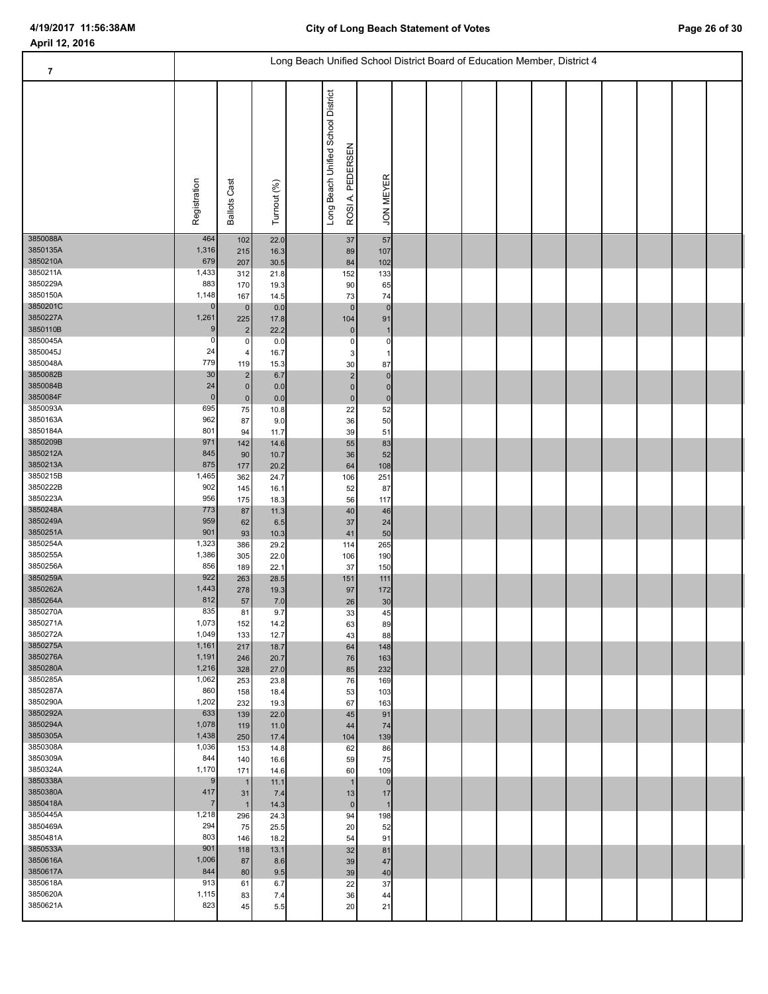| $\overline{\mathbf{7}}$ |                 |                         |              |                                                       | Long Beach Unified School District Board of Education Member, District 4 |  |  |  |  |  |
|-------------------------|-----------------|-------------------------|--------------|-------------------------------------------------------|--------------------------------------------------------------------------|--|--|--|--|--|
|                         | Registration    | <b>Ballots Cast</b>     | Turnout (%)  | Long Beach Unified School District<br>ROSIA, PEDERSEN | <b>JON MEYER</b>                                                         |  |  |  |  |  |
| 3850088A<br>3850135A    | 464<br>1,316    | 102<br>215              | 22.0<br>16.3 | $37\,$<br>89                                          | 57<br>107                                                                |  |  |  |  |  |
| 3850210A                | 679             | 207                     | 30.5         | 84                                                    | 102                                                                      |  |  |  |  |  |
| 3850211A                | 1,433           | 312                     | 21.8         | 152                                                   | 133                                                                      |  |  |  |  |  |
| 3850229A<br>3850150A    | 883<br>1,148    | 170<br>167              | 19.3<br>14.5 | 90<br>73                                              | 65<br>74                                                                 |  |  |  |  |  |
| 3850201C                | $\mathbf 0$     | $\pmb{0}$               | 0.0          | $\mathbf{0}$                                          | $\mathbf 0$                                                              |  |  |  |  |  |
| 3850227A                | 1,261           | 225                     | 17.8         | 104                                                   | 91                                                                       |  |  |  |  |  |
| 3850110B<br>3850045A    | 9<br>0          | $\overline{\mathbf{c}}$ | 22.2         | $\pmb{0}$                                             |                                                                          |  |  |  |  |  |
| 3850045J                | 24              | $\pmb{0}$<br>$\pmb{4}$  | 0.0<br>16.7  | $\pmb{0}$<br>3                                        | 0                                                                        |  |  |  |  |  |
| 3850048A                | 779             | 119                     | 15.3         | 30                                                    | 87                                                                       |  |  |  |  |  |
| 3850082B                | 30              | $\mathbf 2$             | 6.7          | $\sqrt{2}$                                            | $\mathbf 0$                                                              |  |  |  |  |  |
| 3850084B<br>3850084F    | 24<br>$\pmb{0}$ | $\pmb{0}$<br>$\pmb{0}$  | 0.0<br>0.0   | $\pmb{0}$<br>$\pmb{0}$                                | $\Omega$<br>$\mathbf 0$                                                  |  |  |  |  |  |
| 3850093A                | 695             | 75                      | 10.8         | 22                                                    | 52                                                                       |  |  |  |  |  |
| 3850163A                | 962             | 87                      | 9.0          | 36                                                    | 50                                                                       |  |  |  |  |  |
| 3850184A                | 801             | 94                      | 11.7         | 39                                                    | 51                                                                       |  |  |  |  |  |
| 3850209B<br>3850212A    | 971<br>845      | 142<br>90               | 14.6<br>10.7 | 55<br>36                                              | 83<br>52                                                                 |  |  |  |  |  |
| 3850213A                | 875             | 177                     | 20.2         | 64                                                    | 108                                                                      |  |  |  |  |  |
| 3850215B                | 1,465           | 362                     | 24.7         | 106                                                   | 251                                                                      |  |  |  |  |  |
| 3850222B<br>3850223A    | 902             | 145                     | 16.1         | 52                                                    | 87                                                                       |  |  |  |  |  |
| 3850248A                | 956<br>773      | 175<br>87               | 18.3<br>11.3 | 56<br>$40\,$                                          | 117<br>46                                                                |  |  |  |  |  |
| 3850249A                | 959             | 62                      | 6.5          | 37                                                    | 24                                                                       |  |  |  |  |  |
| 3850251A                | 901             | 93                      | 10.3         | 41                                                    | 50                                                                       |  |  |  |  |  |
| 3850254A<br>3850255A    | 1,323<br>1,386  | 386                     | 29.2         | 114                                                   | 265                                                                      |  |  |  |  |  |
| 3850256A                | 856             | 305<br>189              | 22.0<br>22.1 | 106<br>37                                             | 190<br>150                                                               |  |  |  |  |  |
| 3850259A                | 922             | 263                     | 28.5         | 151                                                   | 111                                                                      |  |  |  |  |  |
| 3850262A                | 1,443           | 278                     | 19.3         | 97                                                    | 172                                                                      |  |  |  |  |  |
| 3850264A<br>3850270A    | 812<br>835      | 57<br>81                | 7.0<br>9.7   | 26<br>33                                              | 30<br>45                                                                 |  |  |  |  |  |
| 3850271A                | 1,073           | 152                     | 14.2         | 63                                                    | 89                                                                       |  |  |  |  |  |
| 3850272A                | 1,049           | 133                     | 12.7         | 43                                                    | 88                                                                       |  |  |  |  |  |
| 3850275A                | 1,161           | 217                     | 18.7         | 64                                                    | 148                                                                      |  |  |  |  |  |
| 3850276A<br>3850280A    | 1,191<br>1,216  | 246<br>328              | 20.7<br>27.0 | 76<br>85                                              | 163<br>232                                                               |  |  |  |  |  |
| 3850285A                | 1,062           | 253                     | 23.8         | 76                                                    | 169                                                                      |  |  |  |  |  |
| 3850287A                | 860             | 158                     | 18.4         | 53                                                    | 103                                                                      |  |  |  |  |  |
| 3850290A<br>3850292A    | 1,202<br>633    | 232                     | 19.3         | 67                                                    | 163                                                                      |  |  |  |  |  |
| 3850294A                | 1,078           | 139<br>119              | 22.0<br>11.0 | 45<br>44                                              | 91<br>74                                                                 |  |  |  |  |  |
| 3850305A                | 1,438           | 250                     | 17.4         | 104                                                   | 139                                                                      |  |  |  |  |  |
| 3850308A                | 1,036           | 153                     | 14.8         | 62                                                    | 86                                                                       |  |  |  |  |  |
| 3850309A<br>3850324A    | 844<br>1,170    | 140<br>171              | 16.6         | 59<br>60                                              | 75                                                                       |  |  |  |  |  |
| 3850338A                | 9               | $\mathbf{1}$            | 14.6<br>11.1 | $\mathbf 1$                                           | 109<br>$\mathbf 0$                                                       |  |  |  |  |  |
| 3850380A                | 417             | 31                      | 7.4          | 13                                                    | 17                                                                       |  |  |  |  |  |
| 3850418A                | $\overline{7}$  | $\mathbf{1}$            | 14.3         | $\pmb{0}$                                             |                                                                          |  |  |  |  |  |
| 3850445A<br>3850469A    | 1,218<br>294    | 296<br>75               | 24.3         | 94                                                    | 198                                                                      |  |  |  |  |  |
| 3850481A                | 803             | 146                     | 25.5<br>18.2 | 20<br>54                                              | 52<br>91                                                                 |  |  |  |  |  |
| 3850533A                | 901             | 118                     | 13.1         | 32                                                    | 81                                                                       |  |  |  |  |  |
| 3850616A                | 1,006           | 87                      | 8.6          | 39                                                    | 47                                                                       |  |  |  |  |  |
| 3850617A<br>3850618A    | 844<br>913      | 80                      | 9.5          | 39                                                    | 40                                                                       |  |  |  |  |  |
| 3850620A                | 1,115           | 61<br>83                | 6.7<br>7.4   | 22<br>36                                              | 37<br>44                                                                 |  |  |  |  |  |
| 3850621A                | 823             | 45                      | 5.5          | 20                                                    | 21                                                                       |  |  |  |  |  |
|                         |                 |                         |              |                                                       |                                                                          |  |  |  |  |  |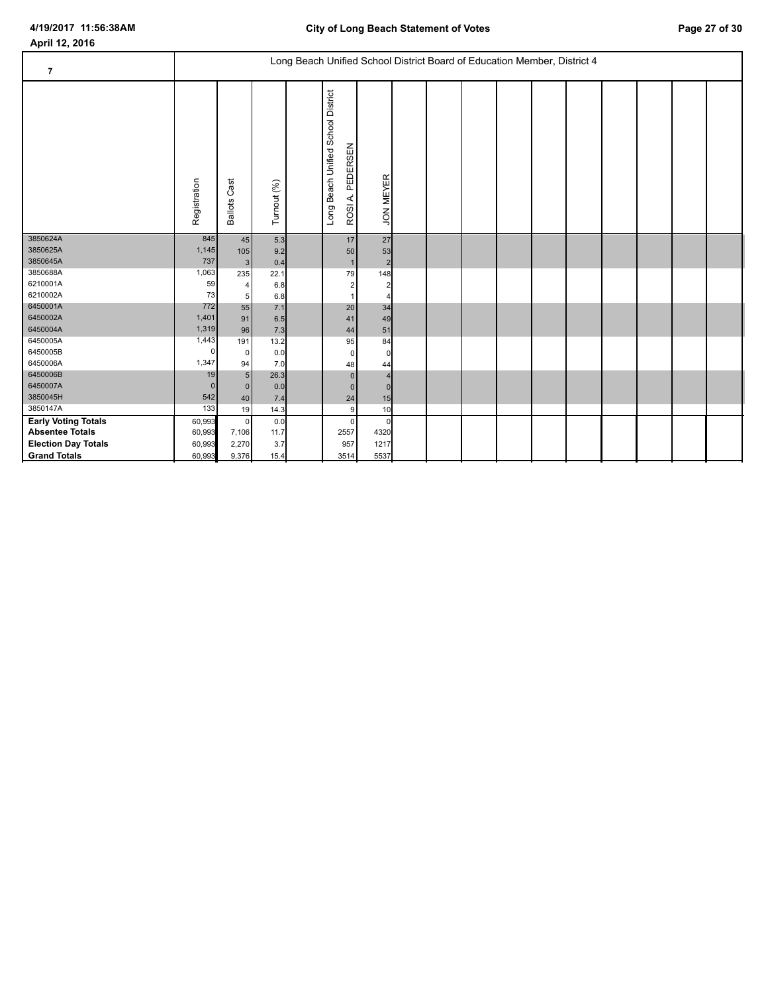| $\overline{\mathbf{7}}$    | Long Beach Unified School District Board of Education Member, District 4 |                        |             |  |                                                             |                      |  |  |  |  |  |  |  |  |  |  |
|----------------------------|--------------------------------------------------------------------------|------------------------|-------------|--|-------------------------------------------------------------|----------------------|--|--|--|--|--|--|--|--|--|--|
|                            | Registration                                                             | Cast<br><b>Ballots</b> | Turnout (%) |  | Beach Unified School District<br>PEDERSEN<br>ROSIA.<br>Long | <b>JON MEYER</b>     |  |  |  |  |  |  |  |  |  |  |
| 3850624A                   | 845                                                                      | 45                     | 5.3         |  | 17                                                          | 27                   |  |  |  |  |  |  |  |  |  |  |
| 3850625A<br>3850645A       | 1,145<br>737                                                             | 105<br>3 <sup>1</sup>  | 9.2<br>0.4  |  | 50<br>$\mathbf{1}$                                          | 53<br>$\overline{2}$ |  |  |  |  |  |  |  |  |  |  |
| 3850688A                   | 1,063                                                                    | 235                    | 22.1        |  | 79                                                          | 148                  |  |  |  |  |  |  |  |  |  |  |
| 6210001A                   | 59                                                                       | 4                      | 6.8         |  | $\overline{\mathbf{c}}$                                     |                      |  |  |  |  |  |  |  |  |  |  |
| 6210002A                   | 73                                                                       | 5                      | 6.8         |  |                                                             |                      |  |  |  |  |  |  |  |  |  |  |
| 6450001A                   | 772                                                                      | 55                     | 7.1         |  | 20                                                          | 34                   |  |  |  |  |  |  |  |  |  |  |
| 6450002A                   | 1,401                                                                    | 91                     | 6.5         |  | 41                                                          | 49                   |  |  |  |  |  |  |  |  |  |  |
| 6450004A                   | 1,319                                                                    | 96                     | 7.3         |  | 44                                                          | 51                   |  |  |  |  |  |  |  |  |  |  |
| 6450005A                   | 1,443                                                                    | 191                    | 13.2        |  | 95                                                          | 84                   |  |  |  |  |  |  |  |  |  |  |
| 6450005B                   | 0                                                                        | 0                      | 0.0         |  | $\mathbf 0$                                                 |                      |  |  |  |  |  |  |  |  |  |  |
| 6450006A                   | 1,347                                                                    | 94                     | 7.0         |  | 48                                                          | 44                   |  |  |  |  |  |  |  |  |  |  |
| 6450006B                   | 19                                                                       | 5 <sup>5</sup>         | 26.3        |  | $\mathbf{0}$                                                |                      |  |  |  |  |  |  |  |  |  |  |
| 6450007A                   | $\mathbf{0}$                                                             | $\mathbf{0}$           | 0.0         |  | $\mathbf{0}$                                                |                      |  |  |  |  |  |  |  |  |  |  |
| 3850045H                   | 542                                                                      | 40                     | 7.4         |  | 24                                                          | 15                   |  |  |  |  |  |  |  |  |  |  |
| 3850147A                   | 133                                                                      | 19                     | 14.3        |  | $\boldsymbol{9}$                                            | 10                   |  |  |  |  |  |  |  |  |  |  |
| <b>Early Voting Totals</b> | 60,993                                                                   | $\overline{0}$         | 0.0         |  | $\mathbf 0$                                                 |                      |  |  |  |  |  |  |  |  |  |  |
| <b>Absentee Totals</b>     | 60,993                                                                   | 7,106                  | 11.7        |  | 2557                                                        | 4320                 |  |  |  |  |  |  |  |  |  |  |
| <b>Election Day Totals</b> | 60,993                                                                   | 2,270                  | 3.7         |  | 957                                                         | 1217                 |  |  |  |  |  |  |  |  |  |  |
| <b>Grand Totals</b>        | 60,993                                                                   | 9,376                  | 15.4        |  | 3514                                                        | 5537                 |  |  |  |  |  |  |  |  |  |  |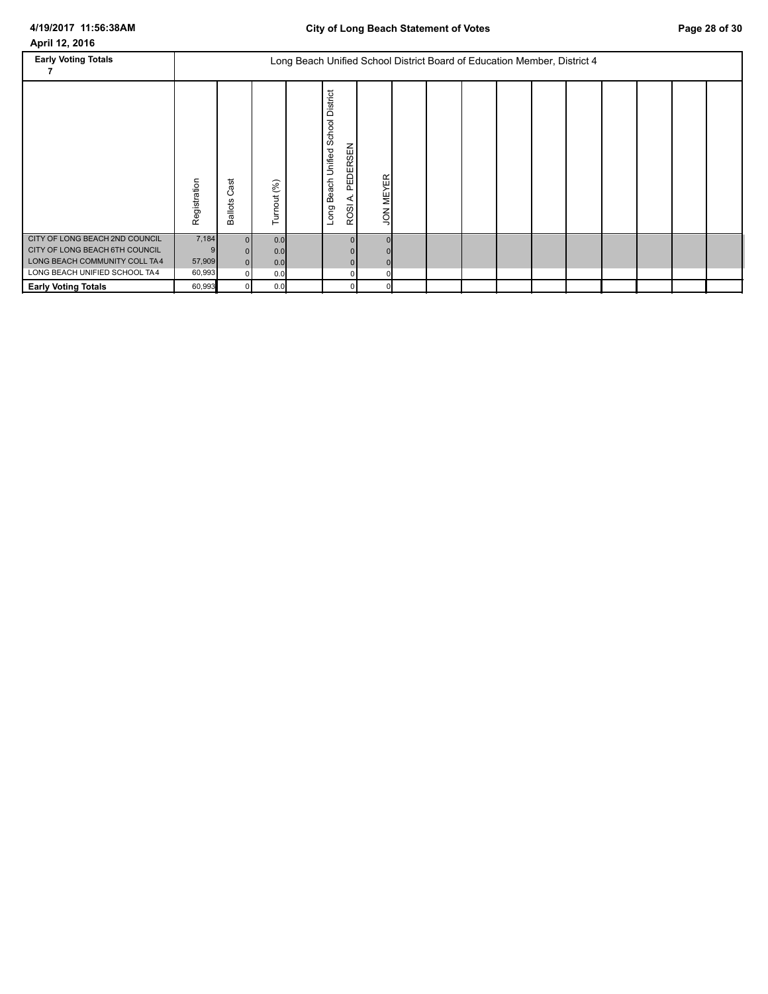| <b>Early Voting Totals</b>                                                                                                         |                           |                                        |                          | Long Beach Unified School District Board of Education Member, District 4 |                                                                          |                  |  |  |  |  |  |
|------------------------------------------------------------------------------------------------------------------------------------|---------------------------|----------------------------------------|--------------------------|--------------------------------------------------------------------------|--------------------------------------------------------------------------|------------------|--|--|--|--|--|
|                                                                                                                                    | Registration              | ಕ<br>ω<br>ပ<br><b>Ballots</b>          | Turnout (%)              |                                                                          | District<br>School<br>PEDERSEN<br>Unified<br>Beach<br>⋖<br>ROSI.<br>Long | <b>JON MEYER</b> |  |  |  |  |  |
| CITY OF LONG BEACH 2ND COUNCIL<br>CITY OF LONG BEACH 6TH COUNCIL<br>LONG BEACH COMMUNITY COLL TA4<br>LONG BEACH UNIFIED SCHOOL TA4 | 7,184<br>57,909<br>60,993 | $\Omega$<br>$\overline{0}$<br>$\Omega$ | 0.0<br>0.0<br>0.0<br>0.0 |                                                                          |                                                                          |                  |  |  |  |  |  |
| <b>Early Voting Totals</b>                                                                                                         | 60,993                    |                                        | 0.0                      |                                                                          |                                                                          |                  |  |  |  |  |  |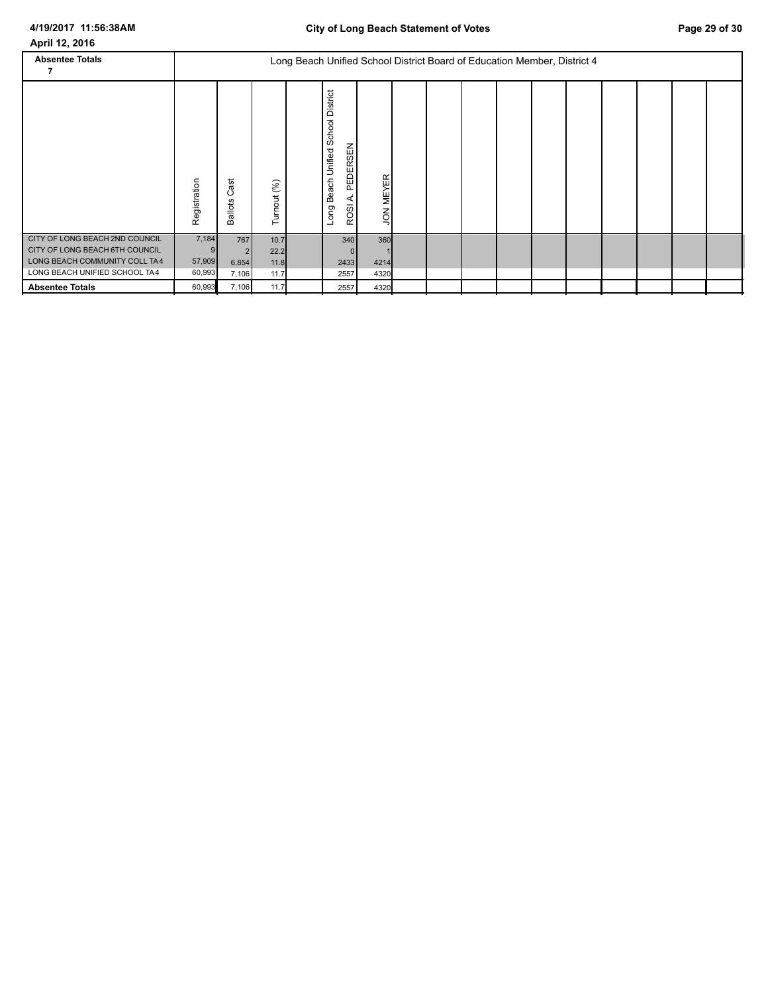| <b>Absentee Totals</b>                                                                                                             |                           |                            |                              | Long Beach Unified School District Board of Education Member, District 4 |                                                                      |                     |  |  |  |  |  |
|------------------------------------------------------------------------------------------------------------------------------------|---------------------------|----------------------------|------------------------------|--------------------------------------------------------------------------|----------------------------------------------------------------------|---------------------|--|--|--|--|--|
|                                                                                                                                    | Registration              | ast<br>ن<br><b>Ballots</b> | Turnout (%)                  |                                                                          | District<br>Unified School<br>PEDERSEN<br>Beach<br>⋖<br>ROSI<br>Long | <b>JON MEYER</b>    |  |  |  |  |  |
| CITY OF LONG BEACH 2ND COUNCIL<br>CITY OF LONG BEACH 6TH COUNCIL<br>LONG BEACH COMMUNITY COLL TA4<br>LONG BEACH UNIFIED SCHOOL TA4 | 7,184<br>57,909<br>60,993 | 767<br>6,854<br>7,106      | 10.7<br>22.2<br>11.8<br>11.7 |                                                                          | 340<br>2433<br>2557                                                  | 360<br>4214<br>4320 |  |  |  |  |  |
| <b>Absentee Totals</b>                                                                                                             | 60,993                    | 7,106                      | 11.7                         |                                                                          | 2557                                                                 | 4320                |  |  |  |  |  |